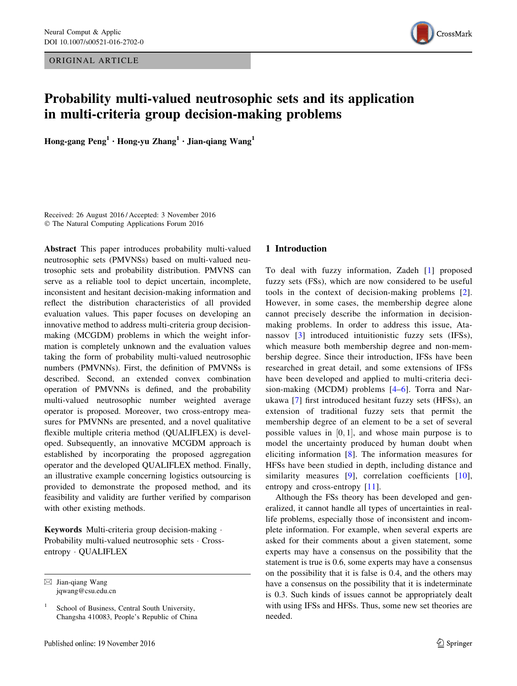ORIGINAL ARTICLE



# Probability multi-valued neutrosophic sets and its application in multi-criteria group decision-making problems

Hong-gang Peng<sup>1</sup> • Hong-yu Zhang<sup>1</sup> • Jian-qiang Wang<sup>1</sup>

Received: 26 August 2016 / Accepted: 3 November 2016 © The Natural Computing Applications Forum 2016

Abstract This paper introduces probability multi-valued neutrosophic sets (PMVNSs) based on multi-valued neutrosophic sets and probability distribution. PMVNS can serve as a reliable tool to depict uncertain, incomplete, inconsistent and hesitant decision-making information and reflect the distribution characteristics of all provided evaluation values. This paper focuses on developing an innovative method to address multi-criteria group decisionmaking (MCGDM) problems in which the weight information is completely unknown and the evaluation values taking the form of probability multi-valued neutrosophic numbers (PMVNNs). First, the definition of PMVNSs is described. Second, an extended convex combination operation of PMVNNs is defined, and the probability multi-valued neutrosophic number weighted average operator is proposed. Moreover, two cross-entropy measures for PMVNNs are presented, and a novel qualitative flexible multiple criteria method (QUALIFLEX) is developed. Subsequently, an innovative MCGDM approach is established by incorporating the proposed aggregation operator and the developed QUALIFLEX method. Finally, an illustrative example concerning logistics outsourcing is provided to demonstrate the proposed method, and its feasibility and validity are further verified by comparison with other existing methods.

Keywords Multi-criteria group decision-making - Probability multi-valued neutrosophic sets · Crossentropy - QUALIFLEX

### 1 Introduction

To deal with fuzzy information, Zadeh [\[1](#page-18-0)] proposed fuzzy sets (FSs), which are now considered to be useful tools in the context of decision-making problems [\[2](#page-18-0)]. However, in some cases, the membership degree alone cannot precisely describe the information in decisionmaking problems. In order to address this issue, Atanassov [\[3](#page-18-0)] introduced intuitionistic fuzzy sets (IFSs), which measure both membership degree and non-membership degree. Since their introduction, IFSs have been researched in great detail, and some extensions of IFSs have been developed and applied to multi-criteria decision-making (MCDM) problems [\[4–6](#page-18-0)]. Torra and Narukawa [[7\]](#page-18-0) first introduced hesitant fuzzy sets (HFSs), an extension of traditional fuzzy sets that permit the membership degree of an element to be a set of several possible values in  $[0, 1]$ , and whose main purpose is to model the uncertainty produced by human doubt when eliciting information [[8\]](#page-18-0). The information measures for HFSs have been studied in depth, including distance and similarity measures [[9](#page-18-0)], correlation coefficients [\[10](#page-18-0)], entropy and cross-entropy [\[11](#page-18-0)].

Although the FSs theory has been developed and generalized, it cannot handle all types of uncertainties in reallife problems, especially those of inconsistent and incomplete information. For example, when several experts are asked for their comments about a given statement, some experts may have a consensus on the possibility that the statement is true is 0.6, some experts may have a consensus on the possibility that it is false is 0.4, and the others may have a consensus on the possibility that it is indeterminate is 0.3. Such kinds of issues cannot be appropriately dealt with using IFSs and HFSs. Thus, some new set theories are needed.

 $\boxtimes$  Jian-qiang Wang jqwang@csu.edu.cn

<sup>&</sup>lt;sup>1</sup> School of Business, Central South University, Changsha 410083, People's Republic of China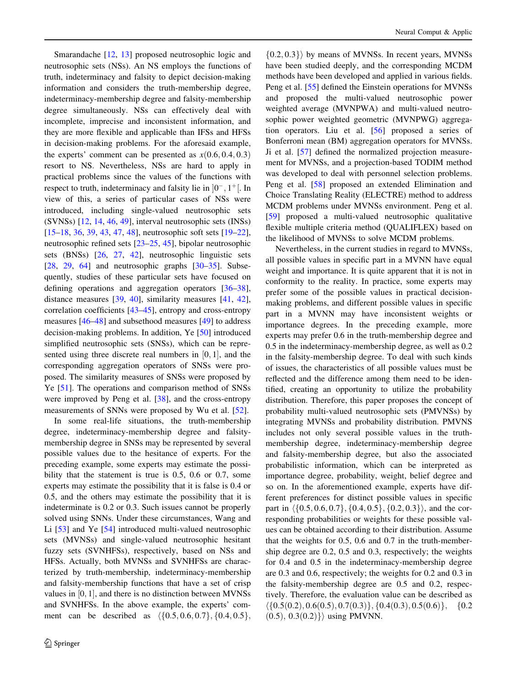Smarandache [\[12](#page-18-0), [13](#page-18-0)] proposed neutrosophic logic and neutrosophic sets (NSs). An NS employs the functions of truth, indeterminacy and falsity to depict decision-making information and considers the truth-membership degree, indeterminacy-membership degree and falsity-membership degree simultaneously. NSs can effectively deal with incomplete, imprecise and inconsistent information, and they are more flexible and applicable than IFSs and HFSs in decision-making problems. For the aforesaid example, the experts' comment can be presented as  $x(0.6, 0.4, 0.3)$ resort to NS. Nevertheless, NSs are hard to apply in practical problems since the values of the functions with respect to truth, indeterminacy and falsity lie in  $[0^-, 1^+]$ . In view of this, a series of particular cases of NSs were introduced, including single-valued neutrosophic sets (SVNSs) [[12,](#page-18-0) [14](#page-18-0), [46](#page-19-0), [49\]](#page-19-0), interval neutrosophic sets (INSs) [\[15–18](#page-18-0), [36,](#page-19-0) [39](#page-19-0), [43](#page-19-0), [47,](#page-19-0) [48](#page-19-0)], neutrosophic soft sets [\[19](#page-18-0)[–22](#page-19-0)], neutrosophic refined sets [\[23–25](#page-19-0), [45\]](#page-19-0), bipolar neutrosophic sets (BNSs) [\[26](#page-19-0), [27,](#page-19-0) [42\]](#page-19-0), neutrosophic linguistic sets  $[28, 29, 64]$  $[28, 29, 64]$  $[28, 29, 64]$  $[28, 29, 64]$  $[28, 29, 64]$  $[28, 29, 64]$  and neutrosophic graphs  $[30-35]$ . Subsequently, studies of these particular sets have focused on defining operations and aggregation operators [\[36–38](#page-19-0)], distance measures [[39,](#page-19-0) [40](#page-19-0)], similarity measures [[41,](#page-19-0) [42](#page-19-0)], correlation coefficients [[43–45\]](#page-19-0), entropy and cross-entropy measures [\[46–48](#page-19-0)] and subsethood measures [[49\]](#page-19-0) to address decision-making problems. In addition, Ye [\[50](#page-19-0)] introduced simplified neutrosophic sets (SNSs), which can be represented using three discrete real numbers in  $[0, 1]$ , and the corresponding aggregation operators of SNSs were proposed. The similarity measures of SNSs were proposed by Ye [[51\]](#page-19-0). The operations and comparison method of SNSs were improved by Peng et al. [\[38](#page-19-0)], and the cross-entropy measurements of SNNs were proposed by Wu et al. [\[52](#page-19-0)].

In some real-life situations, the truth-membership degree, indeterminacy-membership degree and falsitymembership degree in SNSs may be represented by several possible values due to the hesitance of experts. For the preceding example, some experts may estimate the possibility that the statement is true is 0.5, 0.6 or 0.7, some experts may estimate the possibility that it is false is 0.4 or 0.5, and the others may estimate the possibility that it is indeterminate is 0.2 or 0.3. Such issues cannot be properly solved using SNNs. Under these circumstances, Wang and Li [[53\]](#page-19-0) and Ye [[54\]](#page-19-0) introduced multi-valued neutrosophic sets (MVNSs) and single-valued neutrosophic hesitant fuzzy sets (SVNHFSs), respectively, based on NSs and HFSs. Actually, both MVNSs and SVNHFSs are characterized by truth-membership, indeterminacy-membership and falsity-membership functions that have a set of crisp values in  $[0, 1]$ , and there is no distinction between MVNSs and SVNHFSs. In the above example, the experts' comment can be described as  $(0.5, 0.6, 0.7), \{0.4, 0.5\},\$ 

 $\{0.2, 0.3\}$  by means of MVNSs. In recent years, MVNSs have been studied deeply, and the corresponding MCDM methods have been developed and applied in various fields. Peng et al. [[55](#page-19-0)] defined the Einstein operations for MVNSs and proposed the multi-valued neutrosophic power weighted average (MVNPWA) and multi-valued neutrosophic power weighted geometric (MVNPWG) aggregation operators. Liu et al. [[56\]](#page-19-0) proposed a series of Bonferroni mean (BM) aggregation operators for MVNSs. Ji et al. [[57\]](#page-19-0) defined the normalized projection measurement for MVNSs, and a projection-based TODIM method was developed to deal with personnel selection problems. Peng et al. [[58\]](#page-19-0) proposed an extended Elimination and Choice Translating Reality (ELECTRE) method to address MCDM problems under MVNSs environment. Peng et al. [\[59](#page-19-0)] proposed a multi-valued neutrosophic qualitative flexible multiple criteria method (QUALIFLEX) based on the likelihood of MVNSs to solve MCDM problems.

Nevertheless, in the current studies in regard to MVNSs, all possible values in specific part in a MVNN have equal weight and importance. It is quite apparent that it is not in conformity to the reality. In practice, some experts may prefer some of the possible values in practical decisionmaking problems, and different possible values in specific part in a MVNN may have inconsistent weights or importance degrees. In the preceding example, more experts may prefer 0.6 in the truth-membership degree and 0.5 in the indeterminacy-membership degree, as well as 0.2 in the falsity-membership degree. To deal with such kinds of issues, the characteristics of all possible values must be reflected and the difference among them need to be identified, creating an opportunity to utilize the probability distribution. Therefore, this paper proposes the concept of probability multi-valued neutrosophic sets (PMVNSs) by integrating MVNSs and probability distribution. PMVNS includes not only several possible values in the truthmembership degree, indeterminacy-membership degree and falsity-membership degree, but also the associated probabilistic information, which can be interpreted as importance degree, probability, weight, belief degree and so on. In the aforementioned example, experts have different preferences for distinct possible values in specific part in  $\langle \{0.5, 0.6, 0.7\}, \{0.4, 0.5\}, \{0.2, 0.3\} \rangle$ , and the corresponding probabilities or weights for these possible values can be obtained according to their distribution. Assume that the weights for 0.5, 0.6 and 0.7 in the truth-membership degree are 0.2, 0.5 and 0.3, respectively; the weights for 0.4 and 0.5 in the indeterminacy-membership degree are 0.3 and 0.6, respectively; the weights for 0.2 and 0.3 in the falsity-membership degree are 0.5 and 0.2, respectively. Therefore, the evaluation value can be described as  $\{\{0.5(0.2), 0.6(0.5), 0.7(0.3)\}, \{0.4(0.3), 0.5(0.6)\}, \{0.2\}$  $(0.5)$ ,  $0.3(0.2)$ } using PMVNN.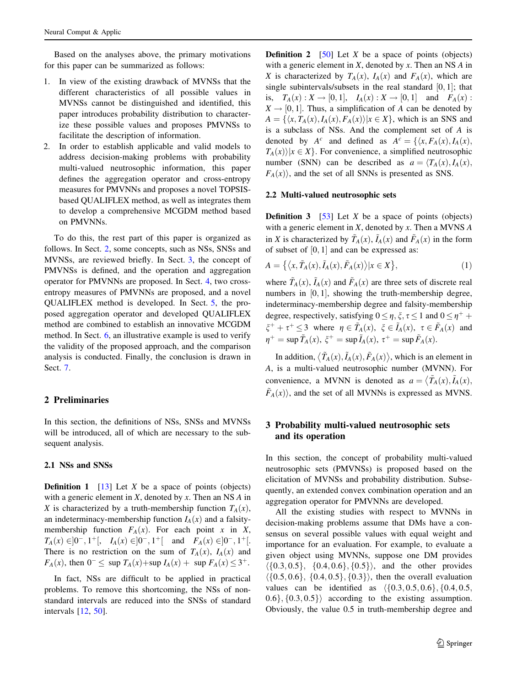Based on the analyses above, the primary motivations for this paper can be summarized as follows:

- 1. In view of the existing drawback of MVNSs that the different characteristics of all possible values in MVNSs cannot be distinguished and identified, this paper introduces probability distribution to characterize these possible values and proposes PMVNSs to facilitate the description of information.
- 2. In order to establish applicable and valid models to address decision-making problems with probability multi-valued neutrosophic information, this paper defines the aggregation operator and cross-entropy measures for PMVNNs and proposes a novel TOPSISbased QUALIFLEX method, as well as integrates them to develop a comprehensive MCGDM method based on PMVNNs.

To do this, the rest part of this paper is organized as follows. In Sect. 2, some concepts, such as NSs, SNSs and MVNSs, are reviewed briefly. In Sect. 3, the concept of PMVNSs is defined, and the operation and aggregation operator for PMVNNs are proposed. In Sect. [4,](#page-7-0) two crossentropy measures of PMVNNs are proposed, and a novel QUALIFLEX method is developed. In Sect. [5](#page-10-0), the proposed aggregation operator and developed QUALIFLEX method are combined to establish an innovative MCGDM method. In Sect. [6](#page-13-0), an illustrative example is used to verify the validity of the proposed approach, and the comparison analysis is conducted. Finally, the conclusion is drawn in Sect. [7](#page-18-0).

#### 2 Preliminaries

In this section, the definitions of NSs, SNSs and MVNSs will be introduced, all of which are necessary to the subsequent analysis.

### 2.1 NSs and SNSs

**Definition 1** [[13\]](#page-18-0) Let X be a space of points (objects) with a generic element in  $X$ , denoted by  $x$ . Then an NS  $A$  in X is characterized by a truth-membership function  $T_A(x)$ , an indeterminacy-membership function  $I_A(x)$  and a falsitymembership function  $F_A(x)$ . For each point x in X,  $T_A(x) \in ]0^-, 1^+]$ ,  $I_A(x) \in ]0^-, 1^+]$  and  $F_A(x) \in ]0^-, 1^+]$ . There is no restriction on the sum of  $T_A(x)$ ,  $I_A(x)$  and  $F_A(x)$ , then  $0^- \leq \sup T_A(x) + \sup I_A(x) + \sup F_A(x) \leq 3^+$ .

In fact, NSs are difficult to be applied in practical problems. To remove this shortcoming, the NSs of nonstandard intervals are reduced into the SNSs of standard intervals [\[12](#page-18-0), [50\]](#page-19-0).

**Definition 2** [\[50](#page-19-0)] Let X be a space of points (objects) with a generic element in  $X$ , denoted by  $x$ . Then an NS  $A$  in X is characterized by  $T_A(x)$ ,  $I_A(x)$  and  $F_A(x)$ , which are single subintervals/subsets in the real standard  $[0, 1]$ ; that is,  $T_A(x) : X \to [0, 1], \quad I_A(x) : X \to [0, 1]$  and  $F_A(x) :$  $X \rightarrow [0, 1]$ . Thus, a simplification of A can be denoted by  $A = \{ \langle x, T_A(x), I_A(x), F_A(x) \rangle | x \in X \}$ , which is an SNS and is a subclass of NSs. And the complement set of A is denoted by  $A^c$  and defined as  $A^c = \{ \langle x, F_A(x), I_A(x), \rangle \}$  $T_A(x)$ |x  $\in X$  For convenience, a simplified neutrosophic number (SNN) can be described as  $a = \langle T_A(x), I_A(x), \rangle$  $F_A(x)$ , and the set of all SNNs is presented as SNS.

#### 2.2 Multi-valued neutrosophic sets

**Definition 3** [\[53](#page-19-0)] Let X be a space of points (objects) with a generic element in  $X$ , denoted by  $x$ . Then a MVNS  $A$ in X is characterized by  $\tilde{T}_A(x)$ ,  $\tilde{I}_A(x)$  and  $\tilde{F}_A(x)$  in the form of subset of  $[0, 1]$  and can be expressed as:

$$
A = \left\{ \left\langle x, \tilde{T}_A(x), \tilde{I}_A(x), \tilde{F}_A(x) \right\rangle | x \in X \right\},\tag{1}
$$

where  $\tilde{T}_A(x)$ ,  $\tilde{I}_A(x)$  and  $\tilde{F}_A(x)$  are three sets of discrete real numbers in  $[0, 1]$ , showing the truth-membership degree, indeterminacy-membership degree and falsity-membership degree, respectively, satisfying  $0 \le \eta, \xi, \tau \le 1$  and  $0 \le \eta^+$  +  $\xi^+ + \tau^+ \leq 3$  where  $\eta \in \tilde{T}_A(x)$ ,  $\xi \in \tilde{I}_A(x)$ ,  $\tau \in \tilde{F}_A(x)$  and  $\eta^+ = \sup \tilde{T}_A(x), \xi^+ = \sup \tilde{I}_A(x), \tau^+ = \sup \tilde{F}_A(x).$ 

In addition,  $\langle \tilde{T}_A(x), \tilde{I}_A(x), \tilde{F}_A(x) \rangle$ , which is an element in A, is a multi-valued neutrosophic number (MVNN). For convenience, a MVNN is denoted as  $a = \langle \tilde{T}_A(x), \tilde{I}_A(x), \rangle$  $\widetilde{F}_A(x)$ , and the set of all MVNNs is expressed as MVNS.

# 3 Probability multi-valued neutrosophic sets and its operation

In this section, the concept of probability multi-valued neutrosophic sets (PMVNSs) is proposed based on the elicitation of MVNSs and probability distribution. Subsequently, an extended convex combination operation and an aggregation operator for PMVNNs are developed.

All the existing studies with respect to MVNNs in decision-making problems assume that DMs have a consensus on several possible values with equal weight and importance for an evaluation. For example, to evaluate a given object using MVNNs, suppose one DM provides  $\{\{0.3, 0.5\}, \{0.4, 0.6\}, \{0.5\}\}\$ , and the other provides  $\langle \{0.5, 0.6\}, \{0.4, 0.5\}, \{0.3\} \rangle$ , then the overall evaluation values can be identified as  $(0.3, 0.5, 0.6), (0.4, 0.5, ...)$  $(0.6\}, \{0.3, 0.5\})$  according to the existing assumption. Obviously, the value 0.5 in truth-membership degree and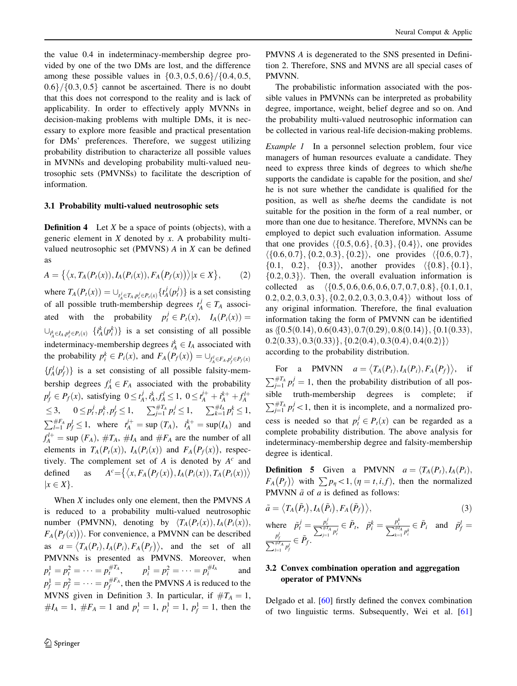<span id="page-3-0"></span>the value 0.4 in indeterminacy-membership degree provided by one of the two DMs are lost, and the difference among these possible values in  $\{0.3, 0.5, 0.6\}/\{0.4, 0.5,$  $0.6$ }/ $\{0.3, 0.5\}$  cannot be ascertained. There is no doubt that this does not correspond to the reality and is lack of applicability. In order to effectively apply MVNNs in decision-making problems with multiple DMs, it is necessary to explore more feasible and practical presentation for DMs' preferences. Therefore, we suggest utilizing probability distribution to characterize all possible values in MVNNs and developing probability multi-valued neutrosophic sets (PMVNSs) to facilitate the description of information.

#### 3.1 Probability multi-valued neutrosophic sets

**Definition 4** Let X be a space of points (objects), with a generic element in  $X$  denoted by  $x$ . A probability multivalued neutrosophic set (PMVNS) A in X can be defined as

$$
A = \{ \langle x, T_A(P_t(x)), I_A(P_i(x)), F_A(P_f(x)) \rangle | x \in X \},\qquad(2)
$$

where  $T_A(P_t(x)) = \bigcup_{t_A^j \in T_A, p_t^j \in P_t(x)} \{t_A^j(p_t^j)\}\$  is a set consisting of all possible truth-membership degrees  $t_A^j \in T_A$  associated with the probability  $p_t^j \in P_t(x)$ ,  $I_A(P_i(x)) =$  $\cup_{i_A^k \in I_A, p_i^k \in P_i(x)} \{i_A^k(p_i^k)\}\$  is a set consisting of all possible indeterminacy-membership degrees  $i_A^k \in I_A$  associated with the probability  $p_i^k \in P_i(x)$ , and  $F_A(P_f(x)) = \bigcup_{f_A^j \in F_A, p_f^j \in P_f(x)}$  $\{f_A^l(p_f^l)\}\$ is a set consisting of all possible falsity-membership degrees  $f_A^l \in F_A$  associated with the probability  $p_f^l \in P_f(x)$ , satisfying  $0 \le t_A^j, t_A^k, f_A^l \le 1$ ,  $0 \le t_A^{j+} + t_A^{k+} + f_A^{l+}$  $\leq 3, \quad 0 \leq p_t^j, p_t^k, p_f^l \leq 1, \quad \sum_{j=1}^{\#I_A} p_t^j \leq 1, \quad \sum_{k=1}^{\#I_A} p_t^k \leq 1,$  $\sum_{l=1}^{#F_A} p_f^l \le 1$ , where  $t_A^{j+} = \sup (T_A)$ ,  $t_A^{k+} = \sup (I_A)$  and  $f_A^{l+} = \sup (F_A)$ ,  $\#T_A$ ,  $\#I_A$  and  $\#F_A$  are the number of all elements in  $T_A(P_t(x))$ ,  $I_A(P_i(x))$  and  $F_A(P_f(x))$ , respectively. The complement set of A is denoted by  $A<sup>c</sup>$  and defined as  $=\{(x, F_A(P_f(x)), I_A(P_i(x)), T_A(P_t(x))\}$  $|x \in X\}.$ 

When X includes only one element, then the PMVNS A is reduced to a probability multi-valued neutrosophic number (PMVNN), denoting by  $\langle T_A(P_t(x)), I_A(P_i(x)),$  $F_A(P_f(x))$ . For convenience, a PMVNN can be described as  $a = \langle T_A(P_t), I_A(P_t), F_A(P_f) \rangle$ , and the set of all PMVNNs is presented as PMVNS. Moreover, when  $p_t^1 = p_t^2 = \dots = p_t^{\#T_A}, \qquad p_i^1 = p_i^2 = \dots = p_t^{\#I_A}$  and  $p_f^1 = p_f^2 = \cdots = p_f^{\#F_A}$ , then the PMVNS A is reduced to the MVNS given in Definition 3. In particular, if  $#T_A = 1$ ,  $#I_A = 1$ ,  $#F_A = 1$  and  $p_t^1 = 1$ ,  $p_i^1 = 1$ ,  $p_f^1 = 1$ , then the

PMVNS A is degenerated to the SNS presented in Definition 2. Therefore, SNS and MVNS are all special cases of PMVNN.

The probabilistic information associated with the possible values in PMVNNs can be interpreted as probability degree, importance, weight, belief degree and so on. And the probability multi-valued neutrosophic information can be collected in various real-life decision-making problems.

Example 1 In a personnel selection problem, four vice managers of human resources evaluate a candidate. They need to express three kinds of degrees to which she/he supports the candidate is capable for the position, and she/ he is not sure whether the candidate is qualified for the position, as well as she/he deems the candidate is not suitable for the position in the form of a real number, or more than one due to hesitance. Therefore, MVNNs can be employed to depict such evaluation information. Assume that one provides  $(0.5, 0.6, \{0.3\}, \{0.4\})$ , one provides  $\langle \{0.6, 0.7\}, \{0.2, 0.3\}, \{0.2\} \rangle$ , one provides  $\langle \{0.6, 0.7\}, \{0.6, 0.7\} \rangle$  $\{0.1, 0.2\}, \{0.3\}\},$  another provides  $\{\{0.8\}, \{0.1\}\},$  $\{0.2, 0.3\}\.$  Then, the overall evaluation information is collected as  $\{(0.5, 0.6, 0.6, 0.6, 0.7, 0.7, 0.8\}, \{0.1, 0.1,$  $(0.2, 0.2, 0.3, 0.3\}, \{0.2, 0.2, 0.3, 0.3, 0.4\})$  without loss of any original information. Therefore, the final evaluation information taking the form of PMVNN can be identified as  $\{(0.5(0.14), 0.6(0.43), 0.7(0.29), 0.8(0.14)\}, \{0.1(0.33),$  $0.2(0.33), 0.3(0.33)\}, \{0.2(0.4), 0.3(0.4), 0.4(0.2)\}\$ according to the probability distribution.

For a PMVNN  $a = \langle T_A(P_t), I_A(P_i), F_A(P_f) \rangle$ , if  $\sum_{j=1}^{#T_A} p_i^j = 1$ , then the probability distribution of all possible truth-membership degrees is complete;  $\sum_{j=1}^{#T_A} p_i^j$  < 1, then it is incomplete, and a normalized process is needed so that  $p_t^j \in P_t(x)$  can be regarded as a complete probability distribution. The above analysis for indeterminacy-membership degree and falsity-membership degree is identical.

**Definition 5** Given a PMVNN  $a = \langle T_A(P_t), I_A(P_i) \rangle$ F<sub>A</sub> $(P_f)$ ) with  $\sum p_{\eta} < 1$ ,  $(\eta = t, i, f)$ , then the normalized PMVNN  $\tilde{a}$  of a is defined as follows:

$$
\tilde{a} = \langle T_A(\tilde{P}_t), I_A(\tilde{P}_i), F_A(\tilde{P}_f) \rangle, \tag{3}
$$
\nwhere  $\tilde{p}_t^j = \frac{p_t^j}{\sum_{j=1}^{\#T_A} p_t^j} \in \tilde{P}_t, \quad \tilde{p}_i^k = \frac{p_t^k}{\sum_{k=1}^{\#T_A} p_t^k} \in \tilde{P}_i \text{ and } \tilde{p}_f^l = \frac{p_t^j}{\sum_{k=1}^{\#T_A} p_t^l} \in \tilde{P}_f.$ 

### 3.2 Convex combination operation and aggregation operator of PMVNNs

Delgado et al. [\[60](#page-19-0)] firstly defined the convex combination of two linguistic terms. Subsequently, Wei et al. [[61\]](#page-19-0)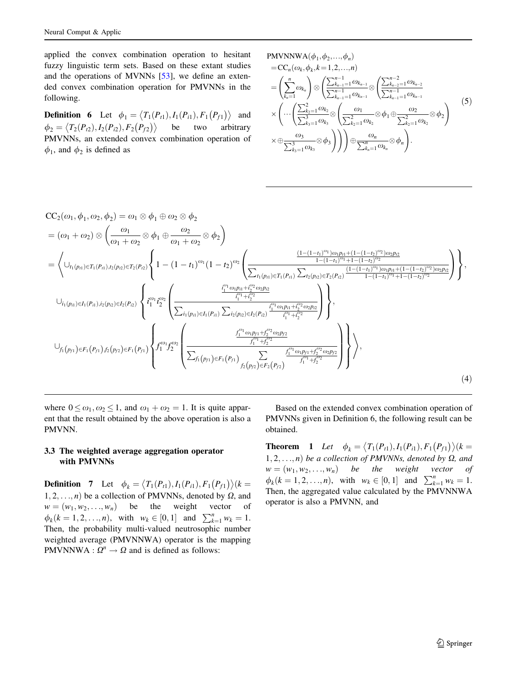applied the convex combination operation to hesitant fuzzy linguistic term sets. Based on these extant studies and the operations of MVNNs [\[53](#page-19-0)], we define an extended convex combination operation for PMVNNs in the following.

**Definition** 6 Let  $\phi_1 = \langle T_1(P_{t1}), I_1(P_{i1}), F_1(P_{f1}) \rangle$  and  $\phi_2 = \langle T_2(P_{t2}), I_2(P_{t2}), F_2(P_{f2}) \rangle$  be two arbitrary PMVNNs, an extended convex combination operation of  $\phi_1$ , and  $\phi_2$  is defined as

$$
PMVNNWA(\phi_{1}, \phi_{2},..., \phi_{n})
$$
\n
$$
= C_{n}(\omega_{k}, \phi_{k}, k=1, 2,...,n)
$$
\n
$$
= \left(\sum_{k_{n}=1}^{n} \omega_{k_{n}}\right) \otimes \left(\frac{\sum_{k_{n-1}=1}^{n-1} \omega_{k_{n-1}}}{\sum_{k_{n-1}=1}^{n-1} \omega_{k_{n-1}}}\otimes \left(\frac{\sum_{k_{n-2}=1}^{n-2} \omega_{k_{n-2}}}{\sum_{k_{n-1}=1}^{n-1} \omega_{k_{n-1}}}\right) \times \left(\cdots \left(\frac{\sum_{k_{2}=1}^{2} \omega_{k_{2}}}{\sum_{k_{3}=1}^{3} \omega_{k_{3}}}\otimes \left(\frac{\omega_{1}}{\sum_{k_{2}=1}^{2} \omega_{k_{2}}}\otimes \phi_{1} \oplus \frac{\omega_{2}}{\sum_{k_{2}=1}^{2} \omega_{k_{2}}}\otimes \phi_{2}\right)\right) \times \oplus \frac{\omega_{3}}{\sum_{k_{3}=1}^{3} \omega_{k_{3}}}\otimes \phi_{3}\right)\right) \oplus \frac{\omega_{n}}{\sum_{k_{n}=1}^{n} \omega_{k_{n}}}\otimes \phi_{n}.
$$
\n(5)

$$
CC_{2}(\omega_{1}, \phi_{1}, \omega_{2}, \phi_{2}) = \omega_{1} \otimes \phi_{1} \oplus \omega_{2} \otimes \phi_{2}
$$
\n
$$
= (\omega_{1} + \omega_{2}) \otimes \left(\frac{\omega_{1}}{\omega_{1} + \omega_{2}} \otimes \phi_{1} \oplus \frac{\omega_{2}}{\omega_{1} + \omega_{2}} \otimes \phi_{2}\right)
$$
\n
$$
= \left\langle \bigcup_{I_{1}(p_{i1}) \in T_{1}(P_{i1}), I_{2}(p_{i2}) \in T_{2}(P_{i2})} \left\{ 1 - (1 - t_{1})^{\omega_{1}} (1 - t_{2})^{\omega_{2}} \left( \frac{\frac{(1 - (1 - t_{1})^{\omega_{1}}) \omega_{1} p_{i1} + (1 - (1 - t_{2})^{\omega_{2}}) \omega_{2} p_{i2}}{1 - (1 - t_{1})^{\omega_{1}} + 1 - (1 - t_{2})^{\omega_{2}} \omega_{2} p_{i2}} \right)}{1 - (1 - t_{1})^{\omega_{1}} + t_{2}^{\omega_{2}} \omega_{2} p_{i2}} \right\},
$$
\n
$$
\bigcup_{i_{1}(p_{i1}) \in I_{1}(P_{i1}), i_{2}(p_{i2}) \in I_{2}(P_{i2})} \left\{ i_{1}^{\omega_{1}} i_{2}^{\omega_{2}} \left( \frac{\frac{t_{1}^{\omega_{1}} \omega_{1} p_{i1} + t_{2}^{\omega_{2}} \omega_{2} p_{i2}}{t_{1}^{\omega_{1}} + t_{2}^{\omega_{2}} \omega_{2} p_{i2}}}{\sum_{i_{1}(p_{i1}) \in I_{1}(P_{i1})} \sum_{i_{2}(p_{i2}) \in I_{2}(P_{i2})} \left\{ \frac{t_{1}^{\omega_{1}} \omega_{1} p_{i1} + t_{2}^{\omega_{2}} \omega_{2} p_{i2}}{t_{1}^{\omega_{1}} + t_{2}^{\omega_{2}} \omega_{2} p_{i2}} \right\},
$$
\n
$$
\bigcup_{f_{1}(p_{f1}) \in F_{1}(P_{f1}), f_{2}(p_{f2}) \in F_{1}(P_{f1})} \left\{ f_{1}^{\omega_{1}} f_{2}^{\omega_{2}} \left( \frac{\frac{t_{
$$

where  $0 \leq \omega_1, \omega_2 \leq 1$ , and  $\omega_1 + \omega_2 = 1$ . It is quite apparent that the result obtained by the above operation is also a PMVNN.

### 3.3 The weighted average aggregation operator with PMVNNs

**Definition** 7 Let  $\phi_k = \langle T_1(P_{t1}), T_1(P_{i1}), F_1(P_{f1}) \rangle (k =$  $1, 2, \ldots, n$  be a collection of PMVNNs, denoted by  $\Omega$ , and  $w = (w_1, w_2, \dots, w_n)$  be the weight vector of  $\phi_k(k = 1, 2, ..., n)$ , with  $w_k \in [0, 1]$  and  $\sum_{k=1}^n w_k = 1$ . Then, the probability multi-valued neutrosophic number weighted average (PMVNNWA) operator is the mapping PMVNNWA :  $\Omega^n \to \Omega$  and is defined as follows:

Based on the extended convex combination operation of PMVNNs given in Definition 6, the following result can be obtained.

**Theorem** 1 Let  $\phi_k = \langle T_1(P_{t1}), I_1(P_{i1}), F_1(P_{f1}) \rangle (k =$  $1, 2, \ldots, n$ ) be a collection of PMVNNs, denoted by  $\Omega$ , and  $w = (w_1, w_2, \ldots, w_n)$  be the weight vector of  $\phi_k(k = 1, 2, ..., n)$ , with  $w_k \in [0, 1]$  and  $\sum_{k=1}^n w_k = 1$ . Then, the aggregated value calculated by the PMVNNWA operator is also a PMVNN, and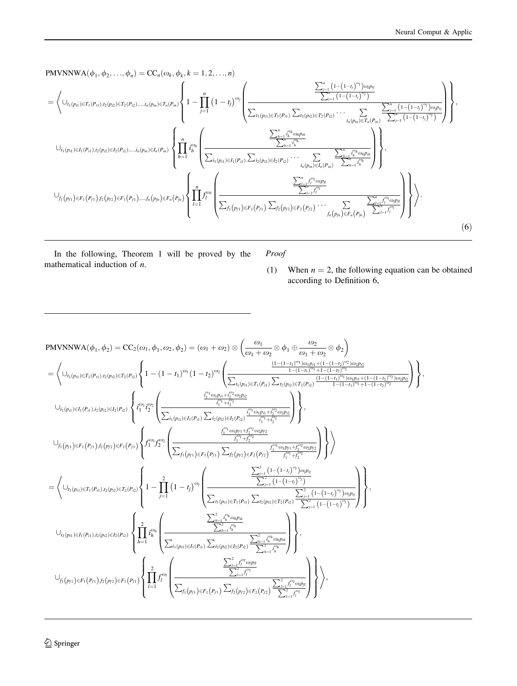<span id="page-5-0"></span>PMVNNWA $(\phi_1, \phi_2, ..., \phi_n) = CC_n(\omega_k, \phi_k, k = 1, 2, ..., n)$  $=\left\langle \cup_{I_1(p_{t1})\in T_1(P_{t1}), I_2(p_{t2})\in T_2(P_{t2}), \dots, I_n(p_m)\in T_n(P_m)} \right\rangle 1-\prod_{j=1}^n$  $(1-t_j)^{\omega_j}$  $\sum_{j=1}^{n} (1 - (1-t_j)^{\omega_j})$  $\sum_{j=1}^n\Big(\mathbb{1}-\Big(1-t_j\Big)^{\omega_j}\Big)\omega_jp_{t_j}\ \sum_{j=1}^n\Big(\mathbb{1}-\Big(1-t_j\Big)^{\omega_j}\Big)\ \nonumber$  $\sum_{t_1(p_{t1}) \in T_1(P_{t1})} \sum_{t_2(p_{t2}) \in T_2(P_{t2})} \cdots$  $t_n(p_{tn}) \in T_n(P_{tn})$  $\sum_{j=1}^{n} (1 - (1-t_j)^{\omega_j})$  $\sum_{j=1}^n\Big(\mathbb{1}-\Big(1-t_j\Big)^{\omega_j}\Big)\omega_jp_{t_j}\ \sum_{j=1}^n\Big(\mathbb{1}-\Big(1-t_j\Big)^{\omega_j}\Big)\ \nonumber$  $\overline{1}$  $\boxed{\frac{\sum_{j=1}^n (1-(1-t_j)^{a_j})}{\sum_{j=1}^n (1-(1-t_j)^{a_j})a_jp_{ij}}}$  $\sqrt{2}$  $\overline{\left( \begin{array}{c} 1 \\ 1 \end{array} \right)}$  $\parallel$  $\mathbf{v}$  $\vert$  $\parallel$ ; \*  $\bigcup_{i_1(p_{i1})\in I_1(P_{i1}), i_2(p_{i2})\in I_2(P_{i2}), \dots, i_n(p_{in})\in I_n(P_{in})}\left\{\prod_{h=1}^n\right\}$  $i_h^{\omega_h}$  $\frac{\sum_{h=1}^{n} i_h^{a_h} o_h p_{ih}}{\sum_{h=1}^{n} i_h^{a_h}}$ <br> $\sum_{i_1(p_{i1}) \in I_1(P_{i1})} \sum_{i_2(p_{i2}) \in I_2(P_{i2})} \cdots$  $i_n(p_{in}) \in I_n(P_{in})$  $\frac{\sum_{h=1}^{n} i_h^{\omega_h} \omega_h p_{ih}}{\sum_{h=1}^{n} i_h^{\omega_h}}$  $\overline{1}$  $\vert$  $\mathbf{r}$  $\cdot$  $\begin{bmatrix} \n\end{bmatrix}$  $\vert$  $\overline{\mathcal{L}}$  $\Bigg\}$  $\cup_{f_1(p_{f1})\in F_1(P_{f1}) , f_2(p_{f2})\in F_1(P_{f1}) ,...,f_n(p_{fn})\in F_n(P_{fn}) } \Bigg\{\prod_{l=1}^n$  $f_l^{\omega_l}$  $\frac{\sum_{l=1}^{n} f_l^{o_l} \omega_l p_j}{\sum_{l=1}^{n} f_l^{o_l}}$  $f_1(p_{f1}) \in F_1(P_{f1})$  $\sum_{f_2(p_{f2}) \in F_2(P_{f2})} \cdots$  $f_n\big(p_{\mathit{fn}}\big) {\in} F_n\big(P_{\mathit{fn}}\big)$  $\frac{\sum_{l=1}^{n} f_l^{\omega_l} \omega_l p_{j_l}}{\sum_{l=1}^{n} f_l^{\omega_l}}$  $\overline{1}$  $\parallel$  $\sqrt{2}$  $\overline{\phantom{a}}$  $\overline{6}$  $\Big\}$  $\parallel$  $\mathbf{v}$  $\overline{\phantom{a}}$  $\vert$  $\sqrt{2}$ :  $(6)$ 

In the following, Theorem 1 will be proved by the mathematical induction of n. Proof

(1) When  $n = 2$ , the following equation can be obtained according to Definition 6,

$$
\begin{split} &\text{PMVNNWA}(\phi_1,\phi_2)=\text{CC}_2(\omega_1,\phi_1,\omega_2,\phi_2)=(\omega_1+\omega_2)\otimes\bigg(\frac{\omega_1}{\omega_1+\omega_2}\otimes\phi_1\oplus\frac{\omega_2}{\omega_1+\omega_2}\otimes\phi_2\bigg)\\ =&\bigg\langle\cup_{l_1(p_{l_1})\in T_1(P_{l_1}),l_2(p_{l2})\in T_2(P_{l2})}\bigg\{1-(1-t_1)^{o_{l_1}}(1-t_2)^{o_{l_2}}\bigg(\frac{(1-(1-t_1)^{o_{l_1}})\omega_{p_{l_1}+1}(-1-t_2)^{o_{l_2}}\omega_{p_{l_2}}}{\sum_{l_1(p_{l_1})\in T_1(P_{l_1})}\sum_{l_2(p_{l2})\in T_2(P_{l2})}\bigg(\frac{(1-(1-t_1)^{o_{l_1}})\omega_{p_{l_1}+1}(-1-t_2)^{o_{l_2}}\omega_{p_{l_2}}}{\sum_{l_1(p_{l_1})\in T_1(P_{l_1})}\sum_{l_2(p_{l2})\in T_2(P_{l2})}\bigg(\frac{\frac{t_1^{(l_1)}\omega_{p_{l}}}{t_1^{o_{l_1}+t_2^{o_{l_2}}}}}{\frac{t_1^{o_{l_1}+t_2^{o_{l_2}}}{t_1^{o_{l_1}+t_2^{o_{l_2}}}}}{\sum_{l_1(p_{l_1})\in T_1(P_{l_1})}\sum_{l_2(p_{l2})\in I_2(P_{l_1})}\sum_{l_2(p_{l1})\in T_1(P_{l_1})}\frac{\frac{t_1^{o_{l_1}+t_2^{o_{l_1}}\omega_{p_{l_1}}}{t_1^{o_{l_1}+t_2^{o_{l_2}}}}}{\sum_{l_1(p_{l_1})\in T_1(P_{l_1})}\sum_{l_2(p_{l_2})\in T_2(P_{l_2})}\frac{\frac{t_1^{o_{l_1}+t_2^{o_{l_1}}\omega_{p_{l_1}}}{t_1^{o_{l_1}+t_2^{o_{l_2}}}}}{\sum_{l_1(p_{l_1})\in T_1(P_{l_1})}\sum_{l_2(p_{l2})\in T_2(P_{l_2
$$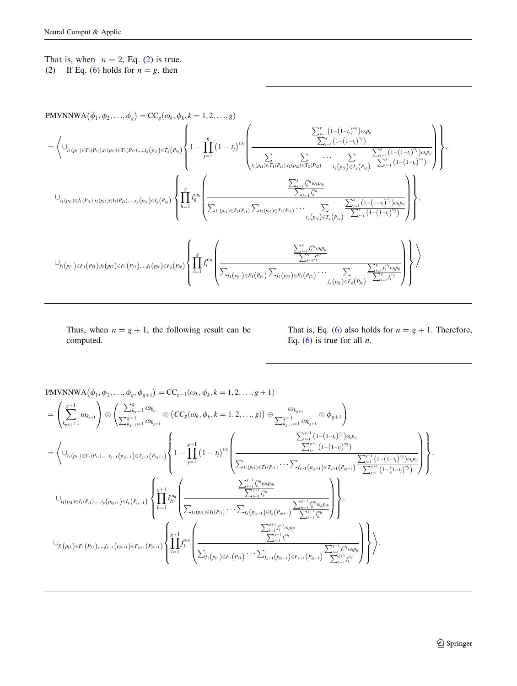That is, when  $n = 2$ , Eq. [\(2](#page-3-0)) is true. (2) If Eq. ([6\)](#page-5-0) holds for  $n = g$ , then

$$
PMVNNWA(\phi_1, \phi_2, ..., \phi_g) = CC_g(\omega_k, \phi_k, k = 1, 2, ..., g)
$$
\n
$$
= \left\langle \bigcup_{I_1(p_{i1}) \in T_1(P_{i1}), I_2(p_{i2}) \in T_2(P_{i2}), ..., I_g(p_{ig}) \in T_g(P_{ig})} \left\{ 1 - \prod_{j=1}^g \left( 1 - t_j \right)^{\omega_j} \left( \frac{\sum_{j=1}^g (1 - (1 - t_j)^{\omega_j}) \omega_j p_{ij}}{\sum_{j=1}^g (1 - (1 - t_j)^{\omega_j})} \right) \right\},
$$
\n
$$
\bigcup_{I_1(p_{i1}) \in I_1(P_{i1}), I_2(p_{i2}) \in I_2(P_{i2}), ..., I_g(p_{ig}) \in T_g(P_{ig})} \left\{ \prod_{h=1}^g \prod_{j=1}^{g_{i2}} \left( 1 - t_j \right)^{\omega_j} \left( \frac{\sum_{j=1}^g (1 - (1 - t_j)^{\omega_j}) \omega_j p_{ij}}{2 \sum_{j=1}^g (1 - (1 - t_j)^{\omega_j})} \right) \right\},
$$
\n
$$
\bigcup_{I_1(p_{i1}) \in I_1(P_{i1}), I_2(p_{i2}) \in I_2(P_{i2}), ..., I_g(p_{ig}) \in I_g(P_{ig})} \left\{ \prod_{h=1}^g t_h^{\omega_h} \left( \frac{\sum_{j=1}^g t_h^{\omega_h} \omega_h p_{ih}}{\sum_{j=1}^g t_h^{\omega_h}} \right) \frac{\sum_{j=1}^g (1 - (1 - t_j)^{\omega_j}) \omega_j p_{ij}}{2 \sum_{j=1}^g (1 - (1 - t_j)^{\omega_j})} \right) \right\},
$$
\n
$$
\bigcup_{f_1(p_{f1}) \in F_1(P_{f1}), f_2(p_{f2}) \in F_1(P_{f1}), ..., f_g(p_{jg}) \in F_g(P_{jg})} \left\{ \prod_{l=1}^g f_l^{\omega_l} \left( \frac{\sum_{j=1}^g t_j^{\omega_l} \omega_l p_{jl}}{\sum_{j=1}^g t_j^{\omega_l} \omega_l p_{jl}} \right) \sum_{j=1}^g \sum_{j=1}^g (1 - (1 - t_j)^{\omega_j} \right) \right\}.
$$

Thus, when  $n = g + 1$ , the following result can be computed.

That is, Eq. ([6\)](#page-5-0) also holds for  $n = g + 1$ . Therefore, Eq.  $(6)$  $(6)$  is true for all *n*.

$$
\begin{split} &\text{PMVNNWA}\left(\phi_{1},\phi_{2},\ldots,\phi_{g},\phi_{g+1}\right)=\text{CC}_{g+1}(\omega_{k},\phi_{k},k=1,2,\ldots,g+1)\\ &=\left(\sum_{k_{g+1}=1}^{g+1}\omega_{k_{g+1}}\right)\otimes\left(\frac{\sum_{k_{g-1}}^{g+1}\omega_{k_{g}}}{\sum_{k_{g+1}=1}^{g+1}\omega_{k_{g+1}}}\otimes\left(CC_{g}(\omega_{k},\phi_{k},k=1,2,\ldots,g)\right)\oplus\frac{\omega_{k_{g+1}}}{\sum_{k_{g+1}=1}^{g+1}\omega_{k_{g+1}}}\otimes\phi_{g+1}\right)\\ &=\left\langle\cup_{l_{1}(p_{l1})\in T_{1}(P_{l1}),\ldots,l_{g+1}(p_{lg+1})\in T_{g+1}(P_{lg+1})}\left\{1-\prod_{j=1}^{g+1}\left(1-t_{j}\right)^{\omega_{j}}\left(\frac{\sum_{j=1}^{g+1}\left(1-\left(1-t_{j}\right)^{\omega_{j}}\right)\omega_{p}p_{j}}{\sum_{j=1}^{g+1}\left(1-\left(1-t_{j}\right)^{\omega_{j}}\right)\omega_{p}p_{j}}\right)}{\sum_{j=1}^{g+1}\left(1-\left(1-t_{j}\right)^{\omega_{j}}\right)\omega_{p}p_{j}}\right\}\right),\\ &\cup_{l_{1}(p_{l1})\in I_{1}(P_{l1}),\ldots,l_{g}(p_{lg+1})\in I_{g}(P_{lg+1})}\left\{\prod_{h=1}^{g+1}\prod_{j=1}^{g}\left(\frac{\sum_{k=1}^{g+1}\omega_{b_{k}}\omega_{b_{k}}p_{j_{h}}}{\sum_{i_{1}(p_{l1})\in I_{1}(P_{l1})}\cdots\sum_{i_{g}\left(p_{l_{g+1}}\right)\in I_{g}(P_{lg+1})}\frac{\sum_{k=1}^{g+1}\omega_{b_{k}}\omega_{b_{k}}p_{j_{h}}}{\sum_{j=1}^{g+1}\omega_{b_{k}}\omega_{b_{k}}p_{j_{h}}}\right\}}\right),\\ &\cup_{f_{1}(p_{l1})\in F_{1}(P_{l1}),\ldots,f_{g+1}(p_{g+1})\in F_{g+1}(P_{g+1})}\left
$$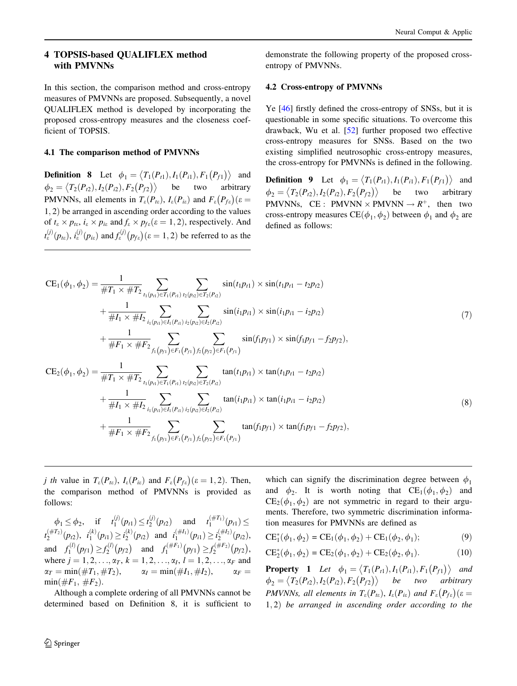### <span id="page-7-0"></span>4 TOPSIS-based QUALIFLEX method with PMVNNs

In this section, the comparison method and cross-entropy measures of PMVNNs are proposed. Subsequently, a novel QUALIFLEX method is developed by incorporating the proposed cross-entropy measures and the closeness coefficient of TOPSIS.

#### 4.1 The comparison method of PMVNNs

**Definition 8** Let  $\phi_1 = \langle T_1(P_{t1}), I_1(P_{i1}), F_1(P_{f1}) \rangle$  and  $\phi_2 = \langle T_2(P_{12}), I_2(P_{12}), F_2(P_{f2}) \rangle$  be two arbitrary PMVNNs, all elements in  $T_{\varepsilon}(P_{t_{\varepsilon}}), I_{\varepsilon}(P_{t_{\varepsilon}})$  and  $F_{\varepsilon}(P_{f_{\varepsilon}})(\varepsilon =$  $1, 2$ ) be arranged in ascending order according to the values of  $t_{\varepsilon} \times p_{t\varepsilon}$ ,  $i_{\varepsilon} \times p_{i\varepsilon}$  and  $f_{\varepsilon} \times p_{f\varepsilon}(\varepsilon = 1, 2)$ , respectively. And  $t_{\varepsilon}^{(j)}(p_{t\varepsilon}), t_{\varepsilon}^{(j)}(p_{t\varepsilon})$  and  $f_{\varepsilon}^{(j)}(p_{f\varepsilon})(\varepsilon = 1, 2)$  be referred to as the

demonstrate the following property of the proposed crossentropy of PMVNNs.

#### 4.2 Cross-entropy of PMVNNs

Ye [\[46](#page-19-0)] firstly defined the cross-entropy of SNSs, but it is questionable in some specific situations. To overcome this drawback, Wu et al. [[52\]](#page-19-0) further proposed two effective cross-entropy measures for SNSs. Based on the two existing simplified neutrosophic cross-entropy measures, the cross-entropy for PMVNNs is defined in the following.

**Definition 9** Let  $\phi_1 = \langle T_1(P_{t1}), I_1(P_{i1}), F_1(P_{f1}) \rangle$  and  $\phi_2 = \langle T_2(P_{12}), I_2(P_{12}), F_2(P_{f2}) \rangle$  be two arbitrary PMVNNs, CE : PMVNN  $\times$  PMVNN  $\rightarrow$  R<sup>+</sup>, then two cross-entropy measures  $CE(\phi_1, \phi_2)$  between  $\phi_1$  and  $\phi_2$  are defined as follows:

$$
CE_{1}(\phi_{1}, \phi_{2}) = \frac{1}{\#T_{1} \times \#T_{2}} \sum_{t_{1}(p_{t1}) \in T_{1}(P_{t1})} \sum_{t_{2}(p_{t2}) \in T_{2}(P_{t2})} \sin(t_{1}p_{t1}) \times \sin(t_{1}p_{t1} - t_{2}p_{t2}) + \frac{1}{\#I_{1} \times \#I_{2}} \sum_{i_{1}(p_{t1}) \in I_{1}(P_{t1})} \sum_{i_{2}(p_{t2}) \in I_{2}(P_{t2})} \sin(i_{1}p_{t1}) \times \sin(i_{1}p_{t1} - i_{2}p_{t2}) + \frac{1}{\#F_{1} \times \#F_{2}} \sum_{f_{1}(p_{t1}) \in F_{1}(P_{t1})} \sum_{f_{2}(p_{t2}) \in F_{1}(P_{t1})} \sin(f_{1}p_{f1}) \times \sin(f_{1}p_{f1} - f_{2}p_{f2}),
$$
  

$$
CE_{2}(\phi_{1}, \phi_{2}) = \frac{1}{\#T_{1} \times \#T_{2}} \sum_{t_{1}(p_{t1}) \in T_{1}(P_{t1})} \sum_{t_{2}(p_{t2}) \in T_{2}(P_{t2})} \tan(t_{1}p_{t1}) \times \tan(t_{1}p_{t1} - t_{2}p_{t2}) + \frac{1}{\#I_{1} \times \#I_{2}} \sum_{i_{1}(p_{t1}) \in I_{1}(P_{t1})} \sum_{i_{2}(p_{t2}) \in I_{2}(P_{t2})} \tan(i_{1}p_{t1}) \times \tan(i_{1}p_{t1} - i_{2}p_{t2}) + \frac{1}{\#F_{1} \times \#F_{2}} \sum_{f_{1}(p_{t1}) \in F_{1}(P_{t1})} \sum_{f_{2}(p_{t2}) \in F_{1}(P_{t1})} \tan(f_{1}p_{f1}) \times \tan(f_{1}p_{f1} - f_{2}p_{f2}),
$$
\n(8)

*j th* value in  $T_{\varepsilon}(P_{t\varepsilon})$ ,  $I_{\varepsilon}(P_{t\varepsilon})$  and  $F_{\varepsilon}(P_{f\varepsilon})(\varepsilon = 1, 2)$ . Then, the comparison method of PMVNNs is provided as follows:

 $\phi_1 \le \phi_2$ , if  $t_1^{(j)}(p_{t1}) \le t_2^{(j)}(p_{t2})$  and  $t_1^{(\#T_1)}(p_{t1}) \le$  $t_2^{(\#T_2)}(p_{i2}), \ \ i_1^{(k)}(p_{i1}) \geq i_2^{(k)}(p_{i2}) \ \text{ and } \ i_1^{(\#I_1)}(p_{i1}) \geq i_2^{(\#I_2)}(p_{i2}),$ and  $f_1^{(l)}(p_{f1}) \ge f_2^{(l)}(p_{f2})$  and  $f_1^{(\#F_1)}(p_{f1}) \ge f_2^{(\#F_2)}(p_{f2}),$ where  $j = 1, 2, ..., \alpha_T, k = 1, 2, ..., \alpha_I, l = 1, 2, ..., \alpha_F$  and  $\alpha_T = \min(\#T_1, \#T_2), \qquad \alpha_I = \min(\#I_1, \#I_2),$  $min(\#F_1, \#F_2)$ .

Although a complete ordering of all PMVNNs cannot be determined based on Definition 8, it is sufficient to

which can signify the discrimination degree between  $\phi_1$ and  $\phi_2$ . It is worth noting that  $CE_1(\phi_1, \phi_2)$  and  $CE_2(\phi_1, \phi_2)$  are not symmetric in regard to their arguments. Therefore, two symmetric discrimination information measures for PMVNNs are defined as

$$
CE_1^*(\phi_1, \phi_2) = CE_1(\phi_1, \phi_2) + CE_1(\phi_2, \phi_1); \tag{9}
$$

$$
CE_2^*(\phi_1, \phi_2) = CE_2(\phi_1, \phi_2) + CE_2(\phi_2, \phi_1).
$$
 (10)

**Property** 1 Let  $\phi_1 = \langle T_1(P_{t1}), I_1(P_{i1}), F_1(P_{f1}) \rangle$  and  $\phi_2 = \langle T_2(P_{12}), I_2(P_{12}), F_2(P_{12}) \rangle$  be two arbitrary PMVNNs, all elements in  $T_{\varepsilon}(P_{t\varepsilon})$ ,  $I_{\varepsilon}(P_{i\varepsilon})$  and  $F_{\varepsilon}(P_{f\varepsilon})$  ( $\varepsilon =$  $1, 2$ ) be arranged in ascending order according to the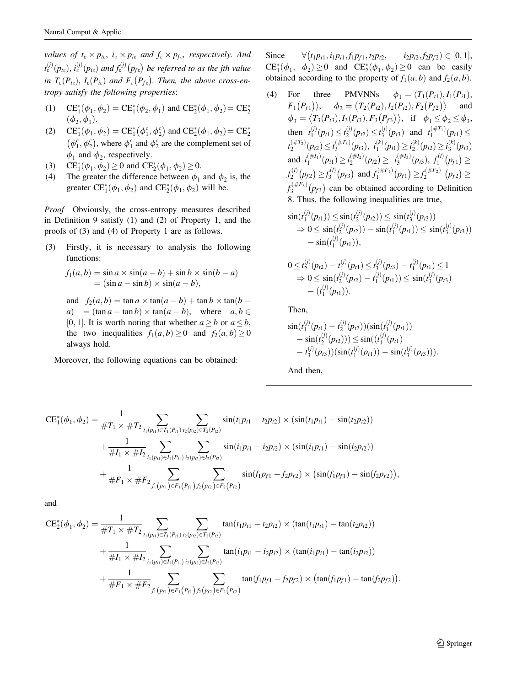values of  $t_{\varepsilon} \times p_{t\varepsilon}$ ,  $i_{\varepsilon} \times p_{i\varepsilon}$  and  $f_{\varepsilon} \times p_{f\varepsilon}$ , respectively. And  $t^{(j)}_{\varepsilon}(p_{t\varepsilon}),$   $i^{(j)}_{\varepsilon}(p_{i\varepsilon})$  and  $f^{(j)}_{\varepsilon}(p_{f\varepsilon})$  be referred to as the jth value in  $T_{\varepsilon}(P_{t\varepsilon}), I_{\varepsilon}(P_{i\varepsilon})$  and  $F_{\varepsilon}(P_{f\varepsilon})$ . Then, the above cross-entropy satisfy the following properties:

- (1)  $CE_1^*(\phi_1, \phi_2) = CE_1^*(\phi_2, \phi_1)$  and  $CE_2^*(\phi_1, \phi_2) = CE_2^*$  $(\phi_2, \phi_1)$ .
- (2)  $CE_1^*(\phi_1, \phi_2) = CE_1^*(\phi_1^c, \phi_2^c)$  and  $CE_2^*(\phi_1, \phi_2) = CE_2^*$  $(\phi_1^c, \phi_2^c)$ , where  $\phi_1^c$  and  $\phi_2^c$  are the complement set of  $\phi_1$  and  $\phi_2$ , respectively.
- (3)  $CE_1^*(\phi_1, \phi_2) \ge 0$  and  $CE_2^*(\phi_1, \phi_2) \ge 0$ .
- (4) The greater the difference between  $\phi_1$  and  $\phi_2$  is, the greater  $CE_1^*(\phi_1, \phi_2)$  and  $CE_2^*(\phi_1, \phi_2)$  will be.

Proof Obviously, the cross-entropy measures described in Definition 9 satisfy (1) and (2) of Property 1, and the proofs of (3) and (4) of Property 1 are as follows.

(3) Firstly, it is necessary to analysis the following functions:

$$
f_1(a,b) = \sin a \times \sin(a-b) + \sin b \times \sin(b-a)
$$
  
=  $(\sin a - \sin b) \times \sin(a-b)$ ,

and  $f_2(a, b) = \tan a \times \tan(a - b) + \tan b \times \tan(b - b)$ a) =  $(\tan a - \tan b) \times \tan(a - b)$ , where  $a, b \in$ [0, 1]. It is worth noting that whether  $a \geq b$  or  $a \leq b$ , the two inequalities  $f_1(a, b) \geq 0$  and  $f_2(a, b) \geq 0$ always hold.

Moreover, the following equations can be obtained:

Since  $\forall (t_1p_{t1}, i_1p_{i1}, f_1p_{f1}, t_2p_{t2}, \quad i_2p_{i2}, f_2p_{f2}) \in [0, 1],$  $CE_1^*(\phi_1, \phi_2) \ge 0$  and  $CE_2^*(\phi_1, \phi_2) \ge 0$  can be easily obtained according to the property of  $f_1(a, b)$  and  $f_2(a, b)$ .

(4) For three PMVNNs  $\phi_1 = \langle T_1(P_{t1}), I_1(P_{i1}),$  $F_1(P_{f1})\rangle, \quad \phi_2 = \langle T_2(P_{f2}), T_2(P_{f2}), F_2(P_{f2}) \rangle \quad \text{and}$  $\phi_3 = \langle T_3(P_{13}), T_3(P_{13}), F_3(P_{f3}) \rangle$ , if  $\phi_1 \le \phi_2 \le \phi_3$ , then  $t_1^{(j)}(p_{t1}) \le t_2^{(j)}(p_{t2}) \le t_3^{(j)}(p_{t3})$  and  $t_1^{(\#T_1)}(p_{t1}) \le$  $t_2^{(\#T_2)}(p_{i2}) \leq t_3^{(\#T_3)}(p_{i3}), \; i_1^{(k)}(p_{i1}) \geq i_2^{(k)}(p_{i2}) \geq i_3^{(k)}(p_{i3})$ and  $i_1^{(\#I_1)}(p_{i1}) \ge i_2^{(\#I_2)}(p_{i2}) \ge i_3^{(\#I_3)}(p_{i3}), f_1^{(l)}(p_{f1}) \ge i_3^{(\#I_3)}(p_{i3})$  $f_2^{(l)}(p_{f2}) \geq f_3^{(l)}(p_{f3})$  and  $f_1^{(\#F_1)}(p_{f1}) \geq f_2^{(\#F_2)}(p_{f2}) \geq$  $f_3^{(\#F_3)}(p_{f3})$  can be obtained according to Definition 8. Thus, the following inequalities are true,

$$
sin(t_1^{(j)}(p_{t1})) \le sin(t_2^{(j)}(p_{t2})) \le sin(t_3^{(j)}(p_{t3}))
$$
  
\n
$$
\Rightarrow 0 \le sin(t_2^{(j)}(p_{t2})) - sin(t_1^{(j)}(p_{t1})) \le sin(t_3^{(j)}(p_{t3}))
$$
  
\n
$$
- sin(t_1^{(j)}(p_{t1})),
$$

$$
0 \leq t_2^{(j)}(p_{r2}) - t_1^{(j)}(p_{r1}) \leq t_3^{(j)}(p_{r3}) - t_1^{(j)}(p_{r1}) \leq 1
$$
  
\n
$$
\Rightarrow 0 \leq \sin(t_2^{(j)}(p_{r2}) - t_1^{(j)}(p_{r1})) \leq \sin(t_3^{(j)}(p_{r3}) - (t_1^{(j)}(p_{r1})).
$$

Then,

$$
\sin(t_1^{(j)}(p_{t1}) - t_2^{(j)}(p_{t2})) (\sin(t_1^{(j)}(p_{t1}))\n- \sin(t_2^{(j)}(p_{t2}))) \le \sin((t_1^{(j)}(p_{t1}))\n- t_3^{(j)}(p_{t3})) (\sin(t_1^{(j)}(p_{t1})) - \sin(t_3^{(j)}(p_{t3}))).
$$

And then,

$$
CE_{1}^{*}(\phi_{1}, \phi_{2}) = \frac{1}{\#T_{1} \times \#T_{2}} \sum_{t_{1}(p_{t1}) \in T_{1}(P_{t1})} \sum_{t_{2}(p_{t2}) \in T_{2}(P_{t2})} \sin(t_{1}p_{t1} - t_{2}p_{t2}) \times (\sin(t_{1}p_{t1}) - \sin(t_{2}p_{t2})) + \frac{1}{\#I_{1} \times \#I_{2}} \sum_{i_{1}(p_{t1}) \in I_{1}(P_{t1})} \sum_{i_{2}(p_{t2}) \in I_{2}(P_{t2})} \sin(i_{1}p_{t1} - i_{2}p_{t2}) \times (\sin(i_{1}p_{t1}) - \sin(i_{2}p_{t2})) + \frac{1}{\#F_{1} \times \#F_{2}} \sum_{f_{1}(p_{t1}) \in F_{1}(P_{t1})} \sum_{f_{2}(p_{t2}) \in F_{2}(P_{t2})} \sin(f_{1}p_{f1} - f_{2}p_{f2}) \times (\sin(f_{1}p_{f1}) - \sin(f_{2}p_{f2})),
$$

and

$$
CE_2^*(\phi_1, \phi_2) = \frac{1}{\#T_1 \times \#T_2} \sum_{t_1(p_{t1}) \in T_1(P_{t1})} \sum_{t_2(p_{t2}) \in T_2(P_{t2})} \tan(t_1 p_{t1} - t_2 p_{t2}) \times (\tan(t_1 p_{t1}) - \tan(t_2 p_{t2}))
$$
  
+ 
$$
\frac{1}{\#I_1 \times \#I_2} \sum_{i_1(p_{i1}) \in I_1(P_{i1})} \sum_{i_2(p_{i2}) \in I_2(P_{i2})} \tan(i_1 p_{i1} - i_2 p_{i2}) \times (\tan(i_1 p_{i1}) - \tan(i_2 p_{i2}))
$$
  
+ 
$$
\frac{1}{\#F_1 \times \#F_2} \sum_{f_1(p_{f1}) \in F_1(P_{f1})} \sum_{f_2(p_{f2}) \in F_2(P_{f2})} \tan(f_1 p_{f1} - f_2 p_{f2}) \times (\tan(f_1 p_{f1}) - \tan(f_2 p_{f2})).
$$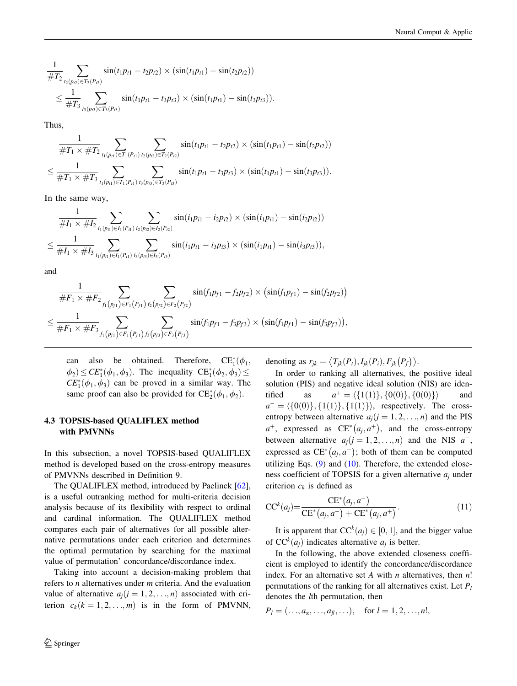$$
\frac{1}{\#T_2} \sum_{t_2(p_{t2}) \in T_2(P_{t2})} \sin(t_1 p_{t1} - t_2 p_{t2}) \times (\sin(t_1 p_{t1}) - \sin(t_2 p_{t2}))
$$
\n
$$
\leq \frac{1}{\#T_3} \sum_{t_3(p_{t3}) \in T_3(P_{t3})} \sin(t_1 p_{t1} - t_3 p_{t3}) \times (\sin(t_1 p_{t1}) - \sin(t_3 p_{t3})).
$$

Thus,

$$
\frac{1}{\#T_1 \times \#T_2} \sum_{t_1(p_{t1}) \in T_1(P_{t1})} \sum_{t_2(p_{t2}) \in T_2(P_{t2})} \sin(t_1 p_{t1} - t_2 p_{t2}) \times (\sin(t_1 p_{t1}) - \sin(t_2 p_{t2}))
$$
\n
$$
\leq \frac{1}{\#T_1 \times \#T_3} \sum_{t_1(p_{t1}) \in T_1(P_{t1})} \sum_{t_3(p_{t3}) \in T_3(P_{t3})} \sin(t_1 p_{t1} - t_3 p_{t3}) \times (\sin(t_1 p_{t1}) - \sin(t_3 p_{t3})).
$$

In the same way,

$$
\frac{1}{\#I_1 \times \#I_2} \sum_{i_1(p_{i1}) \in I_1(P_{i1})} \sum_{i_2(p_{i2}) \in I_2(P_{i2})} \sin(i_1p_{i1} - i_2p_{i2}) \times (\sin(i_1p_{i1}) - \sin(i_2p_{i2}))
$$
\n
$$
\leq \frac{1}{\#I_1 \times \#I_3} \sum_{i_1(p_{i1}) \in I_1(P_{i1})} \sum_{i_3(p_{i3}) \in I_3(P_{i3})} \sin(i_1p_{i1} - i_3p_{i3}) \times (\sin(i_1p_{i1}) - \sin(i_3p_{i3})),
$$

and

$$
\frac{1}{\#F_1 \times \#F_2} \sum_{f_1(p_{f1}) \in F_1(P_{f1})} \sum_{f_2(p_{f2}) \in F_2(P_{f2})} \sin(f_1 p_{f1} - f_2 p_{f2}) \times (\sin(f_1 p_{f1}) - \sin(f_2 p_{f2}))
$$
\n
$$
\leq \frac{1}{\#F_1 \times \#F_3} \sum_{f_1(p_{f1}) \in F_1(P_{f1})} \sum_{f_2(p_{f2}) \in F_2(P_{f2})} \sin(f_1 p_{f1} - f_3 p_{f3}) \times (\sin(f_1 p_{f1}) - \sin(f_3 p_{f3})),
$$

can also be obtained. Therefore,  $CE_1^*(\phi_1,$  $\phi_2$ )  $\leq$   $CE_1^*(\phi_1, \phi_3)$ . The inequality  $CE_1^*(\phi_2, \phi_3)$   $\leq$  $CE_1^*(\phi_1, \phi_3)$  can be proved in a similar way. The same proof can also be provided for  $CE_2^*(\phi_1, \phi_2)$ .

## 4.3 TOPSIS-based QUALIFLEX method with PMVNNs

In this subsection, a novel TOPSIS-based QUALIFLEX method is developed based on the cross-entropy measures of PMVNNs described in Definition 9.

The QUALIFLEX method, introduced by Paelinck [\[62](#page-19-0)], is a useful outranking method for multi-criteria decision analysis because of its flexibility with respect to ordinal and cardinal information. The QUALIFLEX method compares each pair of alternatives for all possible alternative permutations under each criterion and determines the optimal permutation by searching for the maximal value of permutation' concordance/discordance index.

Taking into account a decision-making problem that refers to n alternatives under m criteria. And the evaluation value of alternative  $a_i$  ( $i = 1, 2, ..., n$ ) associated with criterion  $c_k(k = 1, 2, ..., m)$  is in the form of PMVNN,

denoting as  $r_{jk} = \langle T_{jk}(P_t), I_{jk}(P_i), F_{jk}(P_f) \rangle$ .

In order to ranking all alternatives, the positive ideal solution (PIS) and negative ideal solution (NIS) are identified as  $a^+ = \langle \{1(1)\}, \{0(0)\}, \{0(0)\} \rangle$  and  $a^{-} = \langle \{0(0)\}, \{1(1)\}, \{1(1)\} \rangle$ , respectively. The crossentropy between alternative  $a_i$  ( $j = 1, 2, ..., n$ ) and the PIS  $a^+$ , expressed as  $CE^*(a_j, a^+)$ , and the cross-entropy between alternative  $a_i$  ( $j = 1, 2, ..., n$ ) and the NIS  $a^-,$ expressed as  $CE^*(a_j, a^-)$ ; both of them can be computed utilizing Eqs.  $(9)$  $(9)$  and  $(10)$  $(10)$ . Therefore, the extended closeness coefficient of TOPSIS for a given alternative  $a_i$  under criterion  $c_k$  is defined as

$$
CC^{k}(a_{j}) = \frac{CE^{*}(a_{j}, a^{-})}{CE^{*}(a_{j}, a^{-}) + CE^{*}(a_{j}, a^{+})}.
$$
\n(11)

It is apparent that  $CC^{k}(a_j) \in [0, 1]$ , and the bigger value of  $CC^{k}(a_j)$  indicates alternative  $a_j$  is better.

In the following, the above extended closeness coefficient is employed to identify the concordance/discordance index. For an alternative set A with  $n$  alternatives, then  $n!$ permutations of the ranking for all alternatives exist. Let  $P_l$ denotes the lth permutation, then

 $P_l = (..., a_{\alpha}, ..., a_{\beta}, ...)$ , for  $l = 1, 2, ..., n!,$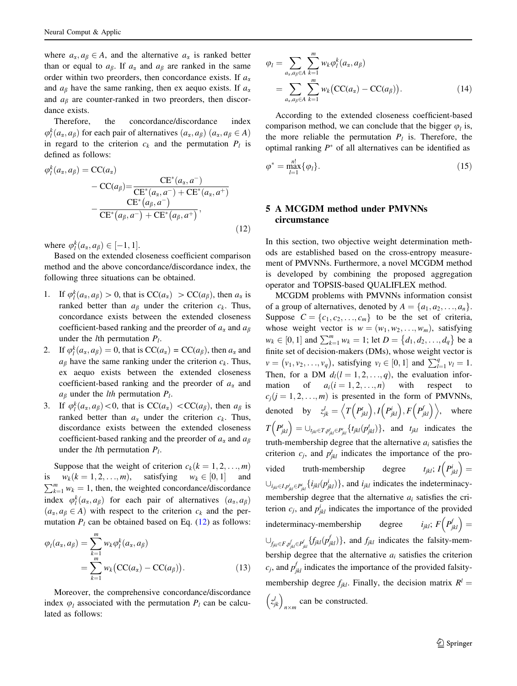<span id="page-10-0"></span>where  $a_{\alpha}, a_{\beta} \in A$ , and the alternative  $a_{\alpha}$  is ranked better than or equal to  $a_{\beta}$ . If  $a_{\alpha}$  and  $a_{\beta}$  are ranked in the same order within two preorders, then concordance exists. If  $a_{\alpha}$ and  $a_{\beta}$  have the same ranking, then ex aequo exists. If  $a_{\alpha}$ and  $a_{\beta}$  are counter-ranked in two preorders, then discordance exists.

Therefore, the concordance/discordance index  $\varphi_l^k(a_\alpha, a_\beta)$  for each pair of alternatives  $(a_\alpha, a_\beta)$   $(a_\alpha, a_\beta \in A)$ in regard to the criterion  $c_k$  and the permutation  $P_l$  is defined as follows:

$$
\varphi_l^k(a_\alpha, a_\beta) = \mathbf{CC}(a_\alpha) \n- \mathbf{CC}(a_\beta) = \frac{\mathbf{CE}^*(a_\alpha, a^-)}{\mathbf{CE}^*(a_\alpha, a^-) + \mathbf{CE}^*(a_\alpha, a^+)} \n- \frac{\mathbf{CE}^*(a_\beta, a^-)}{\mathbf{CE}^*(a_\beta, a^-) + \mathbf{CE}^*(a_\beta, a^+)},
$$
\n(12)

where  $\varphi_l^k(a_\alpha, a_\beta) \in [-1, 1].$ 

Based on the extended closeness coefficient comparison method and the above concordance/discordance index, the following three situations can be obtained.

- 1. If  $\varphi_l^k(a_\alpha, a_\beta) > 0$ , that is  $CC(a_\alpha) > CC(a_\beta)$ , then  $a_\alpha$  is ranked better than  $a_{\beta}$  under the criterion  $c_{k}$ . Thus, concordance exists between the extended closeness coefficient-based ranking and the preorder of  $a_{\alpha}$  and  $a_{\beta}$ under the *l*th permutation  $P_l$ .
- 2. If  $\varphi_l^k(a_\alpha, a_\beta) = 0$ , that is  $CC(a_\alpha) = CC(a_\beta)$ , then  $a_\alpha$  and  $a_{\beta}$  have the same ranking under the criterion  $c_k$ . Thus, ex aequo exists between the extended closeness coefficient-based ranking and the preorder of  $a_{\alpha}$  and  $a_{\beta}$  under the *lth* permutation  $P_l$ .
- 3. If  $\varphi_l^k(a_\alpha, a_\beta) < 0$ , that is  $CC(a_\alpha) < CC(a_\beta)$ , then  $a_\beta$  is ranked better than  $a_{\alpha}$  under the criterion  $c_k$ . Thus, discordance exists between the extended closeness coefficient-based ranking and the preorder of  $a_{\alpha}$  and  $a_{\beta}$ under the *l*th permutation  $P_l$ .

Suppose that the weight of criterion  $c_k(k = 1, 2, \ldots, m)$ is  $w_k$ ( $k = 1, 2, \ldots, m$ ), satisfying  $w_k \in [0, 1]$  and  $\sum_{k=1}^{m} w_k (1 - 1, 1, ..., m)$ , then, the weighted concordance/discordance index  $\varphi_l^k(a_\alpha, a_\beta)$  for each pair of alternatives  $(a_\alpha, a_\beta)$  $(a_{\alpha}, a_{\beta} \in A)$  with respect to the criterion  $c_k$  and the permutation  $P_l$  can be obtained based on Eq. (12) as follows:

$$
\varphi_l(a_\alpha, a_\beta) = \sum_{k=1}^m w_k \varphi_l^k(a_\alpha, a_\beta)
$$
  
= 
$$
\sum_{k=1}^m w_k (CC(a_\alpha) - CC(a_\beta)).
$$
 (13)

Moreover, the comprehensive concordance/discordance index  $\varphi_l$  associated with the permutation  $P_l$  can be calculated as follows:

$$
\varphi_l = \sum_{a_\alpha, a_\beta \in A} \sum_{k=1}^m w_k \varphi_l^k(a_\alpha, a_\beta)
$$
  
= 
$$
\sum_{a_\alpha, a_\beta \in A} \sum_{k=1}^m w_k (CC(a_\alpha) - CC(a_\beta)).
$$
 (14)

According to the extended closeness coefficient-based comparison method, we can conclude that the bigger  $\varphi_i$  is, the more reliable the permutation  $P_l$  is. Therefore, the optimal ranking  $P^*$  of all alternatives can be identified as

$$
\varphi^* = \max_{l=1}^{n!} \{\varphi_l\}.
$$
\n(15)

# 5 A MCGDM method under PMVNNs circumstance

In this section, two objective weight determination methods are established based on the cross-entropy measurement of PMVNNs. Furthermore, a novel MCGDM method is developed by combining the proposed aggregation operator and TOPSIS-based QUALIFLEX method.

MCGDM problems with PMVNNs information consist of a group of alternatives, denoted by  $A = \{a_1, a_2, \ldots, a_n\}.$ Suppose  $C = \{c_1, c_2, \ldots, c_m\}$  to be the set of criteria, whose weight vector is  $w = (w_1, w_2, \ldots, w_m)$ , satisfying  $w_k \in [0, 1]$  and  $\sum_{k=1}^{m} w_k = 1$ ; let  $D = \{d_1, d_2, ..., d_q\}$  be a finite set of decision-makers (DMs), whose weight vector is  $v = (v_1, v_2, ..., v_q)$ , satisfying  $v_l \in [0, 1]$  and  $\sum_{l=1}^{q} v_l = 1$ . Then, for a DM  $d_l$   $l = 1, 2, ..., q$ , the evaluation information of  $a_i (i = 1, 2, ..., n)$  with respect to  $c_j$ ( $j = 1, 2, ..., m$ ) is presented in the form of PMVNNs, denoted by  $z_{jk}^l = \left\langle T\left(P_{jkl}^t\right), I\left(P_{jkl}^i\right), F\left(P_{jkl}^f\right) \right\rangle$ , where  $T(P_{jkl}^t) = \bigcup_{t_{jkl} \in T, p_{jkl}^t \in P_{jkl}^t} \{t_{jkl}(p_{jkl}^t)\},$  and  $t_{jkl}$  indicates the truth-membership degree that the alternative  $a_i$  satisfies the criterion  $c_j$ , and  $p_{jkl}^t$  indicates the importance of the provided truth-membership degree  $\left( P_{jkl}^{i}\right) =% \begin{pmatrix} \left( 1-\left( 1-\frac{1}{2}\right) \right) & \left( 1-\left( 1-\frac{1}{2}\right) \right) & \left( 1-\frac{1}{2}\right) & \left( 1-\frac{1}{2}\right) & \left( 1-\frac{1}{2}\right) & \left( 1-\frac{1}{2}\right) & \left( 1-\frac{1}{2}\right) & \left( 1-\frac{1}{2}\right) & \left( 1-\frac{1}{2}\right) & \left( 1-\frac{1}{2}\right) & \left( 1-\frac{1}{2}\right) & \left( 1-\frac{1}{2}\right) & \left($  $\cup_{i_{jkl}\in I, p_{jkl}^i\in P_{jkl}^i} \{i_{jkl}(p_{jkl}^i)\}\$ , and  $i_{jkl}$  indicates the indeterminacymembership degree that the alternative  $a_i$  satisfies the criterion  $c_j$ , and  $p_{jkl}^i$  indicates the importance of the provided indeterminacy-membership degree  $\stackrel{\cdot }{\left( {P_{jkl}^f } \right)} =$  $\cup_{f_{jkl}\in F, p'_{jkl}\in P'_{jkl}} \{f_{jkl}(p^f_{jkl})\}$ , and  $f_{jkl}$  indicates the falsity-membership degree that the alternative  $a_i$  satisfies the criterion  $c_j$ , and  $p_{jkl}^f$  indicates the importance of the provided falsitymembership degree  $f_{jkl}$ . Finally, the decision matrix  $R^l$  =  $\left(z_{jk}^l\right)$ can be constructed.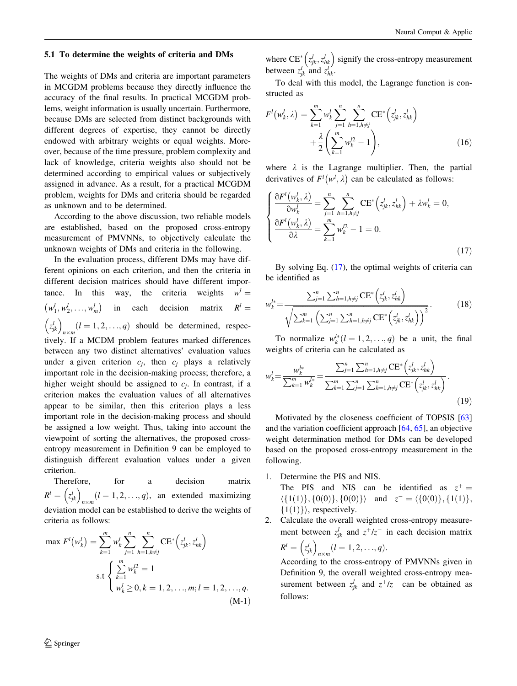#### <span id="page-11-0"></span>5.1 To determine the weights of criteria and DMs

The weights of DMs and criteria are important parameters in MCGDM problems because they directly influence the accuracy of the final results. In practical MCGDM problems, weight information is usually uncertain. Furthermore, because DMs are selected from distinct backgrounds with different degrees of expertise, they cannot be directly endowed with arbitrary weights or equal weights. Moreover, because of the time pressure, problem complexity and lack of knowledge, criteria weights also should not be determined according to empirical values or subjectively assigned in advance. As a result, for a practical MCGDM problem, weights for DMs and criteria should be regarded as unknown and to be determined.

According to the above discussion, two reliable models are established, based on the proposed cross-entropy measurement of PMVNNs, to objectively calculate the unknown weights of DMs and criteria in the following.

In the evaluation process, different DMs may have different opinions on each criterion, and then the criteria in different decision matrices should have different importance. In this way, the criteria weights  $w<sup>l</sup> =$  $w_1^l, w_2^l, ..., w_m^l$ in each decision matrix  $R^l =$  $\left(z_{jk}^l\right)$  $\binom{n \times m}{n \times m}$  should be determined, respectively. If a MCDM problem features marked differences between any two distinct alternatives' evaluation values under a given criterion  $c_j$ , then  $c_j$  plays a relatively important role in the decision-making process; therefore, a higher weight should be assigned to  $c_i$ . In contrast, if a criterion makes the evaluation values of all alternatives appear to be similar, then this criterion plays a less important role in the decision-making process and should be assigned a low weight. Thus, taking into account the viewpoint of sorting the alternatives, the proposed crossentropy measurement in Definition 9 can be employed to distinguish different evaluation values under a given criterion.

Therefore, for a decision matrix  $R^l = \begin{pmatrix} z_{jk}^l \end{pmatrix}$  $\lim_{n \times m} (l = 1, 2, \dots, q)$ , an extended maximizing deviation model can be established to derive the weights of criteria as follows:

$$
\max F^{l}(w_{k}^{l}) = \sum_{k=1}^{m} w_{k}^{l} \sum_{j=1}^{n} \sum_{h=1, h \neq j}^{n} CE^{*}(z_{jk}^{l}, z_{hk}^{l})
$$
  
s.t 
$$
\begin{cases} \sum_{k=1}^{m} w_{k}^{l2} = 1\\ w_{k}^{l} \ge 0, k = 1, 2, ..., m; l = 1, 2, ..., q. \end{cases}
$$
(M-1)

where  $CE^*\left(z_{jk}^l, z_{hk}^l\right)$  signify the cross-entropy measurement between  $z_{jk}^l$  and  $z_{hk}^l$ .

To deal with this model, the Lagrange function is constructed as

$$
F^{l}(w_{k}^{l}, \lambda) = \sum_{k=1}^{m} w_{k}^{l} \sum_{j=1}^{n} \sum_{h=1, h \neq j}^{n} CE^{*}(z_{jk}^{l}, z_{hk}^{l}) + \frac{\lambda}{2} \left( \sum_{k=1}^{m} w_{k}^{l2} - 1 \right),
$$
 (16)

where  $\lambda$  is the Lagrange multiplier. Then, the partial derivatives of  $F^l(w^l, \lambda)$  can be calculated as follows:

$$
\begin{cases} \frac{\partial F^l(w_k^l, \lambda)}{\partial w_k^l} = \sum_{j=1}^n \sum_{h=1, h \neq j}^n \mathbf{CE}^* \left( z_{jk}^l, z_{hk}^l \right) + \lambda w_k^l = 0, \\ \frac{\partial F^l(w_k^l, \lambda)}{\partial \lambda} = \sum_{k=1}^m w_k^{l2} - 1 = 0. \end{cases}
$$
\n(17)

By solving Eq. (17), the optimal weights of criteria can be identified as

$$
w_k^{l*} = \frac{\sum_{j=1}^n \sum_{h=1, h \neq j}^n \text{CE}^* (z_{jk}^l, z_{hk}^l)}{\sqrt{\sum_{k=1}^m \left(\sum_{j=1}^n \sum_{h=1, h \neq j}^n \text{CE}^* (z_{jk}^l, z_{hk}^l)\right)^2}}.
$$
(18)

To normalize  $w_k^{l*}$   $(l = 1, 2, ..., q)$  be a unit, the final weights of criteria can be calculated as

$$
w_k^l = \frac{w_k^{l*}}{\sum_{k=1}^m w_k^{l*}} = \frac{\sum_{j=1}^n \sum_{h=1, h \neq j}^n \text{CE}^* \left(z_{jk}^l, z_{hk}^l\right)}{\sum_{k=1}^m \sum_{j=1}^n \sum_{h=1, h \neq j}^n \text{CE}^* \left(z_{jk}^l, z_{hk}^l\right)}.
$$
\n(19)

Motivated by the closeness coefficient of TOPSIS [[63\]](#page-19-0) and the variation coefficient approach [[64,](#page-20-0) [65](#page-20-0)], an objective weight determination method for DMs can be developed based on the proposed cross-entropy measurement in the following.

1. Determine the PIS and NIS.

The PIS and NIS can be identified as  $z^+=$  $\langle \{1(1)\}, \{0(0)\}, \{0(0)\}\rangle$  and  $z^- = \langle \{0(0)\}, \{1(1)\},\$  $\{1(1)\}\rangle$ , respectively.

2. Calculate the overall weighted cross-entropy measurement between  $z_{jk}^l$  and  $z^+/z^-$  in each decision matrix  $R^l = \left(z_{jk}^l\right)$  $_{n \times m} (l = 1, 2, ..., q).$ 

According to the cross-entropy of PMVNNs given in Definition 9, the overall weighted cross-entropy measurement between  $z_{jk}^l$  and  $z^+/z^-$  can be obtained as follows: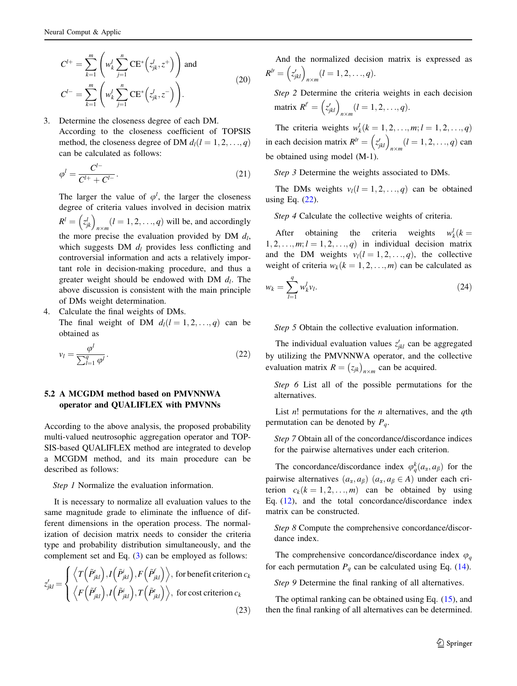<span id="page-12-0"></span>
$$
C^{l+} = \sum_{k=1}^{m} \left( w_k^l \sum_{j=1}^n \mathbf{CE}^* \left( z_{jk}^l, z^+ \right) \right) \text{ and }
$$
  

$$
C^{l-} = \sum_{k=1}^{m} \left( w_k^l \sum_{j=1}^n \mathbf{CE}^* \left( z_{jk}^l, z^- \right) \right).
$$
 (20)

3. Determine the closeness degree of each DM.

According to the closeness coefficient of TOPSIS method, the closeness degree of DM  $d_l$  ( $l = 1, 2, ..., q$ ) can be calculated as follows:

$$
\varphi^l = \frac{C^{l-}}{C^{l+} + C^{l-}}.\tag{21}
$$

The larger the value of  $\varphi^l$ , the larger the closeness degree of criteria values involved in decision matrix  $R^l = \left(z_{jk}^l\right)$  $\binom{n \times m}{n \times m}$  (*l* = 1, 2, ..., *q*) will be, and accordingly the more precise the evaluation provided by DM  $d_l$ , which suggests DM  $d_l$  provides less conflicting and controversial information and acts a relatively important role in decision-making procedure, and thus a greater weight should be endowed with DM  $d_l$ . The above discussion is consistent with the main principle of DMs weight determination.

4. Calculate the final weights of DMs. The final weight of DM  $d_l$   $l = 1, 2, ..., q$  can be obtained as

$$
v_l = \frac{\varphi^l}{\sum_{l=1}^q \varphi^l}.
$$
\n
$$
(22)
$$

# 5.2 A MCGDM method based on PMVNNWA operator and QUALIFLEX with PMVNNs

According to the above analysis, the proposed probability multi-valued neutrosophic aggregation operator and TOP-SIS-based QUALIFLEX method are integrated to develop a MCGDM method, and its main procedure can be described as follows:

Step 1 Normalize the evaluation information.

It is necessary to normalize all evaluation values to the same magnitude grade to eliminate the influence of different dimensions in the operation process. The normalization of decision matrix needs to consider the criteria type and probability distribution simultaneously, and the complement set and Eq. [\(3](#page-3-0)) can be employed as follows:

$$
z'_{jkl} = \begin{cases} \left\langle T\left(\tilde{P}_{jkl}^t\right), I\left(\tilde{P}_{jkl}^i\right), F\left(\tilde{P}_{jkl}^f\right) \right\rangle, \text{ for benefit criterion } c_k\\ \left\langle F\left(\tilde{P}_{jkl}^f\right), I\left(\tilde{P}_{jkl}^i\right), T\left(\tilde{P}_{jkl}^i\right) \right\rangle, \text{ for cost criterion } c_k \end{cases}
$$
(23)

And the normalized decision matrix is expressed as  $R^l = \left(z'_{jkl}\right)$  $_{n\times m}(l = 1, 2, ..., q).$ 

Step 2 Determine the criteria weights in each decision matrix  $R^{l'} = (z'_{jkl})$  $_{n \times m} (l = 1, 2, \ldots, q).$ 

The criteria weights  $w_k^l$   $(k = 1, 2, ..., m; l = 1, 2, ..., q)$ in each decision matrix  $R^l = (z'_{jkl})$  $\binom{n \times m}{l} = 1, 2, \ldots, q$  can be obtained using model (M-1).

Step 3 Determine the weights associated to DMs.

The DMs weights  $v_l$  ( $l = 1, 2, ..., q$ ) can be obtained using Eq. (22).

Step 4 Calculate the collective weights of criteria.

After obtaining the criteria weights  $w_k^l$  ( $k =$  $1, 2, \ldots, m; l = 1, 2, \ldots, q$  in individual decision matrix and the DM weights  $v_l$  ( $l = 1, 2, ..., q$ ), the collective weight of criteria  $w_k$   $(k = 1, 2, ..., m)$  can be calculated as

$$
w_k = \sum_{l=1}^{q} w_k^l v_l.
$$
 (24)

Step 5 Obtain the collective evaluation information.

The individual evaluation values  $z'_{jkl}$  can be aggregated by utilizing the PMVNNWA operator, and the collective evaluation matrix  $R = (z_{jk})_{n \times m}$  can be acquired.

Step 6 List all of the possible permutations for the alternatives.

List  $n!$  permutations for the  $n$  alternatives, and the  $q$ th permutation can be denoted by  $P_q$ .

Step 7 Obtain all of the concordance/discordance indices for the pairwise alternatives under each criterion.

The concordance/discordance index  $\varphi_q^k(a_\alpha, a_\beta)$  for the pairwise alternatives  $(a_{\alpha}, a_{\beta})$   $(a_{\alpha}, a_{\beta} \in A)$  under each criterion  $c_k(k = 1, 2, \ldots, m)$  can be obtained by using Eq. [\(12](#page-10-0)), and the total concordance/discordance index matrix can be constructed.

Step 8 Compute the comprehensive concordance/discordance index.

The comprehensive concordance/discordance index  $\varphi_a$ for each permutation  $P_q$  can be calculated using Eq. [\(14](#page-10-0)).

Step 9 Determine the final ranking of all alternatives.

The optimal ranking can be obtained using Eq.  $(15)$ , and then the final ranking of all alternatives can be determined.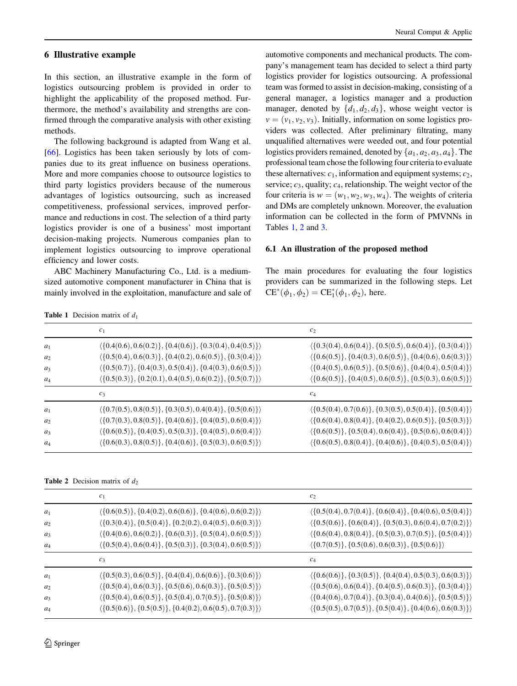### <span id="page-13-0"></span>6 Illustrative example

In this section, an illustrative example in the form of logistics outsourcing problem is provided in order to highlight the applicability of the proposed method. Furthermore, the method's availability and strengths are confirmed through the comparative analysis with other existing methods.

The following background is adapted from Wang et al. [\[66](#page-20-0)]. Logistics has been taken seriously by lots of companies due to its great influence on business operations. More and more companies choose to outsource logistics to third party logistics providers because of the numerous advantages of logistics outsourcing, such as increased competitiveness, professional services, improved performance and reductions in cost. The selection of a third party logistics provider is one of a business' most important decision-making projects. Numerous companies plan to implement logistics outsourcing to improve operational efficiency and lower costs.

ABC Machinery Manufacturing Co., Ltd. is a mediumsized automotive component manufacturer in China that is mainly involved in the exploitation, manufacture and sale of

**Table 1** Decision matrix of  $d_1$ 

automotive components and mechanical products. The company's management team has decided to select a third party logistics provider for logistics outsourcing. A professional team was formed to assist in decision-making, consisting of a general manager, a logistics manager and a production manager, denoted by  $\{d_1, d_2, d_3\}$ , whose weight vector is  $v = (v_1, v_2, v_3)$ . Initially, information on some logistics providers was collected. After preliminary filtrating, many unqualified alternatives were weeded out, and four potential logistics providers remained, denoted by  $\{a_1, a_2, a_3, a_4\}$ . The professional team chose the following four criteria to evaluate these alternatives:  $c_1$ , information and equipment systems;  $c_2$ , service;  $c_3$ , quality;  $c_4$ , relationship. The weight vector of the four criteria is  $w = (w_1, w_2, w_3, w_4)$ . The weights of criteria and DMs are completely unknown. Moreover, the evaluation information can be collected in the form of PMVNNs in Tables 1, 2 and [3.](#page-14-0)

#### 6.1 An illustration of the proposed method

The main procedures for evaluating the four logistics providers can be summarized in the following steps. Let  $CE^*(\phi_1, \phi_2) = CE_1^*(\phi_1, \phi_2)$ , here.

|                | $c_1$                                                                          | c <sub>2</sub>                                                                 |
|----------------|--------------------------------------------------------------------------------|--------------------------------------------------------------------------------|
| $a_1$          | $\langle \{0.4(0.6), 0.6(0.2)\}, \{0.4(0.6)\}, \{0.3(0.4), 0.4(0.5)\}\rangle$  | $\langle \{0.3(0.4), 0.6(0.4)\}, \{0.5(0.5), 0.6(0.4)\}, \{0.3(0.4)\} \rangle$ |
| $a_2$          | $\langle \{0.5(0.4), 0.6(0.3)\}, \{0.4(0.2), 0.6(0.5)\}, \{0.3(0.4)\}\rangle$  | $\langle \{0.6(0.5)\}, \{0.4(0.3), 0.6(0.5)\}, \{0.4(0.6), 0.6(0.3)\}\rangle$  |
| $a_3$          | $\langle \{0.5(0.7)\}, \{0.4(0.3), 0.5(0.4)\}, \{0.4(0.3), 0.6(0.5)\}\rangle$  | $\langle \{0.4(0.5), 0.6(0.5)\}, \{0.5(0.6)\}, \{0.4(0.4), 0.5(0.4)\}\rangle$  |
| $a_4$          | $\langle \{0.5(0.3)\}, \{0.2(0.1), 0.4(0.5), 0.6(0.2)\}, \{0.5(0.7)\}\rangle$  | $\langle \{0.6(0.5)\}, \{0.4(0.5), 0.6(0.5)\}, \{0.5(0.3), 0.6(0.5)\}\rangle$  |
|                | $c_3$                                                                          | $c_4$                                                                          |
| $a_1$          | $\langle \{0.7(0.5), 0.8(0.5)\}, \{0.3(0.5), 0.4(0.4)\}, \{0.5(0.6)\}\rangle$  | $\langle \{0.5(0.4), 0.7(0.6)\}, \{0.3(0.5), 0.5(0.4)\}, \{0.5(0.4)\}\rangle$  |
| a <sub>2</sub> | $\langle \{0.7(0.3), 0.8(0.5)\}, \{0.4(0.6)\}, \{0.4(0.5), 0.6(0.4)\}\rangle$  | $\langle \{0.6(0.4), 0.8(0.4)\}, \{0.4(0.2), 0.6(0.5)\}, \{0.5(0.3)\}\rangle$  |
| $a_3$          | $\langle \{0.6(0.5)\}, \{0.4(0.5), 0.5(0.3)\}, \{0.4(0.5), 0.6(0.4)\} \rangle$ | $\langle \{0.6(0.5)\}, \{0.5(0.4), 0.6(0.4)\}, \{0.5(0.6), 0.6(0.4)\}\rangle$  |
| $a_4$          | $\langle \{0.6(0.3), 0.8(0.5)\}, \{0.4(0.6)\}, \{0.5(0.3), 0.6(0.5)\} \rangle$ | $\langle \{0.6(0.5), 0.8(0.4)\}, \{0.4(0.6)\}, \{0.4(0.5), 0.5(0.4)\}\rangle$  |
|                |                                                                                |                                                                                |

**Table 2** Decision matrix of  $d_2$ 

|       | c <sub>1</sub>                                                                 | c <sub>2</sub>                                                                 |
|-------|--------------------------------------------------------------------------------|--------------------------------------------------------------------------------|
| $a_1$ | $\langle \{0.6(0.5)\}, \{0.4(0.2), 0.6(0.6)\}, \{0.4(0.6), 0.6(0.2)\}\rangle$  | $\langle \{0.5(0.4), 0.7(0.4)\}, \{0.6(0.4)\}, \{0.4(0.6), 0.5(0.4)\}\rangle$  |
| $a_2$ | $\langle \{0.3(0.4)\}, \{0.5(0.4)\}, \{0.2(0.2), 0.4(0.5), 0.6(0.3)\}\rangle$  | $\langle \{0.5(0.6)\}, \{0.6(0.4)\}, \{0.5(0.3), 0.6(0.4), 0.7(0.2)\} \rangle$ |
| $a_3$ | $\langle \{0.4(0.6), 0.6(0.2)\}, \{0.6(0.3)\}, \{0.5(0.4), 0.6(0.5)\}\rangle$  | $\langle \{0.6(0.4), 0.8(0.4)\}, \{0.5(0.3), 0.7(0.5)\}, \{0.5(0.4)\} \rangle$ |
| $a_4$ | $\langle \{0.5(0.4), 0.6(0.4)\}, \{0.5(0.3)\}, \{0.3(0.4), 0.6(0.5)\}\rangle$  | $\langle \{0.7(0.5)\}, \{0.5(0.6), 0.6(0.3)\}, \{0.5(0.6)\}\rangle$            |
|       | $c_3$                                                                          | C <sub>4</sub>                                                                 |
| $a_1$ | $\langle \{0.5(0.3), 0.6(0.5)\}, \{0.4(0.4), 0.6(0.6)\}, \{0.3(0.6)\}\rangle$  | $\langle \{0.6(0.6)\}, \{0.3(0.5)\}, \{0.4(0.4), 0.5(0.3), 0.6(0.3)\}\rangle$  |
| $a_2$ | $\langle \{0.5(0.4), 0.6(0.3)\}, \{0.5(0.6), 0.6(0.3)\}, \{0.5(0.5)\}\rangle$  | $\langle \{0.5(0.6), 0.6(0.4)\}, \{0.4(0.5), 0.6(0.3)\}, \{0.3(0.4)\}\rangle$  |
| $a_3$ | $\langle \{0.5(0.4), 0.6(0.5)\}, \{0.5(0.4), 0.7(0.5)\}, \{0.5(0.8)\}\rangle$  | $\langle \{0.4(0.6), 0.7(0.4)\}, \{0.3(0.4), 0.4(0.6)\}, \{0.5(0.5)\}\rangle$  |
| $a_4$ | $\langle \{0.5(0.6)\}, \{0.5(0.5)\}, \{0.4(0.2), 0.6(0.5), 0.7(0.3)\} \rangle$ | $\langle \{0.5(0.5), 0.7(0.5)\}, \{0.5(0.4)\}, \{0.4(0.6), 0.6(0.3)\}\rangle$  |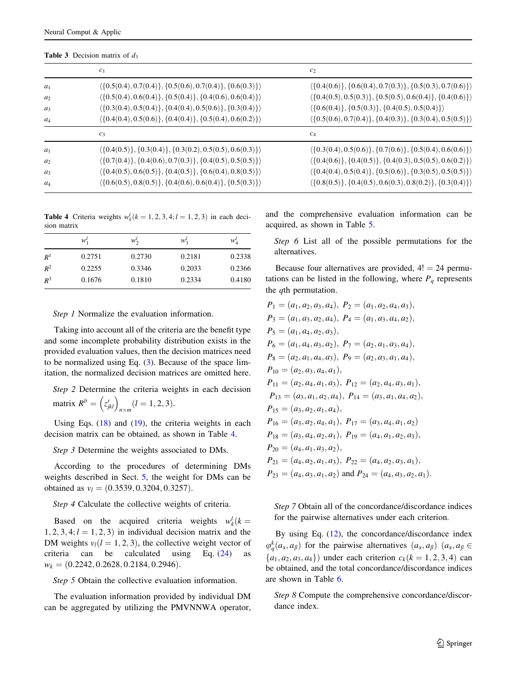<span id="page-14-0"></span>**Table 3** Decision matrix of  $d_3$ 

| c <sub>1</sub>                                                                | c <sub>2</sub>                                                                 |
|-------------------------------------------------------------------------------|--------------------------------------------------------------------------------|
| $\langle \{0.5(0.4), 0.7(0.4)\}, \{0.5(0.6), 0.7(0.4)\}, \{0.6(0.3)\}\rangle$ | $\langle \{0.4(0.6)\}, \{0.6(0.4), 0.7(0.3)\}, \{0.5(0.3), 0.7(0.6)\} \rangle$ |
|                                                                               | $\langle \{0.4(0.5), 0.5(0.3)\}, \{0.5(0.5), 0.6(0.4)\}, \{0.4(0.6)\}\rangle$  |
| $\langle \{0.3(0.4), 0.5(0.4)\}, \{0.4(0.4), 0.5(0.6)\}, \{0.3(0.4)\}\rangle$ | $\langle \{0.6(0.4)\}, \{0.5(0.3)\}, \{0.4(0.5), 0.5(0.4)\}\rangle$            |
| $\langle \{0.4(0.4), 0.5(0.6)\}, \{0.4(0.4)\}, \{0.5(0.4), 0.6(0.2)\}\rangle$ | $\langle \{0.5(0.6), 0.7(0.4)\}, \{0.4(0.3)\}, \{0.3(0.4), 0.5(0.5)\}\rangle$  |
| $c_3$                                                                         | C <sub>4</sub>                                                                 |
| $\langle \{0.4(0.5)\}, \{0.3(0.4)\}, \{0.3(0.2), 0.5(0.5), 0.6(0.3)\}\rangle$ | $\langle \{0.3(0.4), 0.5(0.6)\}, \{0.7(0.6)\}, \{0.5(0.4), 0.6(0.6)\}\rangle$  |
| $\langle \{0.7(0.4)\}, \{0.4(0.6), 0.7(0.3)\}, \{0.4(0.5), 0.5(0.5)\}\rangle$ | $\langle \{0.4(0.6)\}, \{0.4(0.5)\}, \{0.4(0.3), 0.5(0.5), 0.6(0.2)\}\rangle$  |
| $\langle \{0.4(0.5), 0.6(0.5)\}, \{0.4(0.5)\}, \{0.6(0.4), 0.8(0.5)\}\rangle$ | $\langle \{0.4(0.4), 0.5(0.4)\}, \{0.5(0.6)\}, \{0.3(0.5), 0.5(0.5)\}\rangle$  |
| $\langle \{0.6(0.5), 0.8(0.5)\}, \{0.4(0.6), 0.6(0.4)\}, \{0.5(0.3)\}\rangle$ | $\langle \{0.8(0.5)\}, \{0.4(0.5), 0.6(0.3), 0.8(0.2)\}, \{0.3(0.4)\} \rangle$ |
|                                                                               | $\langle \{0.5(0.4), 0.6(0.4)\}, \{0.5(0.4)\}, \{0.4(0.6), 0.6(0.4)\} \rangle$ |

**Table 4** Criteria weights  $w_k^l$  ( $k = 1, 2, 3, 4; l = 1, 2, 3$ ) in each decision matrix

|       | $W_1^t$ | $W_2^{\iota}$ | $W_2^l$ | $W'_A$ |
|-------|---------|---------------|---------|--------|
| $R^1$ | 0.2751  | 0.2730        | 0.2181  | 0.2338 |
| $R^2$ | 0.2255  | 0.3346        | 0.2033  | 0.2366 |
| $R^3$ | 0.1676  | 0.1810        | 0.2334  | 0.4180 |

Step 1 Normalize the evaluation information.

Taking into account all of the criteria are the benefit type and some incomplete probability distribution exists in the provided evaluation values, then the decision matrices need to be normalized using Eq.  $(3)$  $(3)$ . Because of the space limitation, the normalized decision matrices are omitted here.

Step 2 Determine the criteria weights in each decision matrix  $R^l = \begin{pmatrix} z'_{jkl} \end{pmatrix}$  $_{n\times m}(l = 1, 2, 3).$ 

Using Eqs.  $(18)$  $(18)$  $(18)$  and  $(19)$  $(19)$ , the criteria weights in each decision matrix can be obtained, as shown in Table 4.

Step 3 Determine the weights associated to DMs.

According to the procedures of determining DMs weights described in Sect. [5](#page-10-0), the weight for DMs can be obtained as  $v_l = (0.3539, 0.3204, 0.3257)$ .

Step 4 Calculate the collective weights of criteria.

Based on the acquired criteria weights  $w_k^l$  ( $k =$  $1, 2, 3, 4; l = 1, 2, 3$  in individual decision matrix and the DM weights  $v_l (l = 1, 2, 3)$ , the collective weight vector of criteria can be calculated using Eq. ([24\)](#page-12-0) as  $w_k = (0.2242, 0.2628, 0.2184, 0.2946).$ 

Step 5 Obtain the collective evaluation information.

The evaluation information provided by individual DM can be aggregated by utilizing the PMVNNWA operator,

and the comprehensive evaluation information can be acquired, as shown in Table [5.](#page-15-0)

Step 6 List all of the possible permutations for the alternatives.

Because four alternatives are provided,  $4! = 24$  permutations can be listed in the following, where  $P_q$  represents the *q*th permutation.

$$
P_1 = (a_1, a_2, a_3, a_4), P_2 = (a_1, a_2, a_4, a_3),
$$
  
\n
$$
P_3 = (a_1, a_3, a_2, a_4), P_4 = (a_1, a_3, a_4, a_2),
$$
  
\n
$$
P_5 = (a_1, a_4, a_2, a_3),
$$
  
\n
$$
P_6 = (a_1, a_4, a_3, a_2), P_7 = (a_2, a_1, a_3, a_4),
$$
  
\n
$$
P_8 = (a_2, a_1, a_4, a_3), P_9 = (a_2, a_3, a_1, a_4),
$$
  
\n
$$
P_{10} = (a_2, a_3, a_4, a_1),
$$
  
\n
$$
P_{11} = (a_2, a_4, a_1, a_3), P_{12} = (a_2, a_4, a_3, a_1),
$$
  
\n
$$
P_{13} = (a_3, a_1, a_2, a_4), P_{14} = (a_3, a_1, a_4, a_2),
$$
  
\n
$$
P_{15} = (a_3, a_2, a_4, a_1), P_{17} = (a_3, a_4, a_1, a_2)
$$
  
\n
$$
P_{18} = (a_3, a_4, a_2, a_1), P_{19} = (a_4, a_1, a_2, a_3),
$$
  
\n
$$
P_{20} = (a_4, a_1, a_3, a_2),
$$
  
\n
$$
P_{21} = (a_4, a_2, a_1, a_3), P_{22} = (a_4, a_2, a_3, a_1),
$$
  
\n
$$
P_{23} = (a_4, a_3, a_1, a_2)
$$
 and 
$$
P_{24} = (a_4, a_3, a_2, a_1).
$$

Step 7 Obtain all of the concordance/discordance indices for the pairwise alternatives under each criterion.

By using Eq. ([12\)](#page-10-0), the concordance/discordance index  $\varphi_q^k(a_\alpha, a_\beta)$  for the pairwise alternatives  $(a_\alpha, a_\beta)$   $(a_\alpha, a_\beta \in$  $\{a_1, a_2, a_3, a_4\}$  under each criterion  $c_k(k = 1, 2, 3, 4)$  can be obtained, and the total concordance/discordance indices are shown in Table [6](#page-16-0).

Step 8 Compute the comprehensive concordance/discordance index.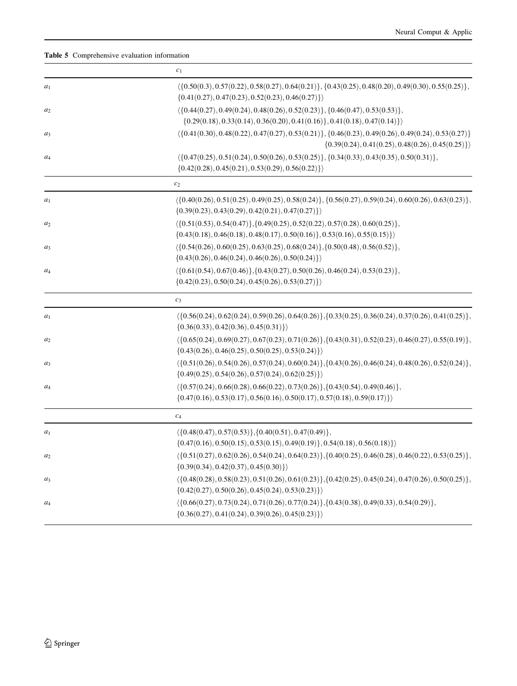<span id="page-15-0"></span>Table 5 Comprehensive evaluation information

|                    | c <sub>1</sub>                                                                                                                                                                           |  |  |
|--------------------|------------------------------------------------------------------------------------------------------------------------------------------------------------------------------------------|--|--|
| $a_1$              | $\{(0.50(0.3), 0.57(0.22), 0.58(0.27), 0.64(0.21)\}, \{0.43(0.25), 0.48(0.20), 0.49(0.30), 0.55(0.25)\},\$<br>$\{0.41(0.27), 0.47(0.23), 0.52(0.23), 0.46(0.27)\}\$                      |  |  |
| $a_2$              | $\langle \{0.44(0.27), 0.49(0.24), 0.48(0.26), 0.52(0.23)\}, \{0.46(0.47), 0.53(0.53)\},$<br>$\{0.29 (0.18), 0.33 (0.14), 0.36 (0.20), 0.41 (0.16)\}, 0.41 (0.18), 0.47 (0.14)\}\rangle$ |  |  |
| $a_3$              | $\{ \{ 0.41 (0.30), 0.48 (0.22), 0.47 (0.27), 0.53 (0.21) \}, \{ 0.46 (0.23), 0.49 (0.26), 0.49 (0.24), 0.53 (0.27) \}$<br>$\{0.39(0.24), 0.41(0.25), 0.48(0.26), 0.45(0.25)\}\rangle$   |  |  |
| $a_4$              | $\{\{0.47(0.25), 0.51(0.24), 0.50(0.26), 0.53(0.25)\}, \{0.34(0.33), 0.43(0.35), 0.50(0.31)\},\$<br>$\{0.42(0.28), 0.45(0.21), 0.53(0.29), 0.56(0.22)\}\$                                |  |  |
|                    | c <sub>2</sub>                                                                                                                                                                           |  |  |
| $a_1$              | $\{\{0.40(0.26), 0.51(0.25), 0.49(0.25), 0.58(0.24)\}, \{0.56(0.27), 0.59(0.24), 0.60(0.26), 0.63(0.23)\},$<br>$\{0.39(0.23), 0.43(0.29), 0.42(0.21), 0.47(0.27)\}\rangle$               |  |  |
| $\boldsymbol{a}_2$ | $\langle \{0.51(0.53), 0.54(0.47)\}, \{0.49(0.25), 0.52(0.22), 0.57(0.28), 0.60(0.25)\},$<br>$\{0.43(0.18), 0.46(0.18), 0.48(0.17), 0.50(0.16)\}, 0.53(0.16), 0.55(0.15)\}\rangle$       |  |  |
| $a_3$              | $\{\{0.54(0.26), 0.60(0.25), 0.63(0.25), 0.68(0.24)\}, \{0.50(0.48), 0.56(0.52)\},\$<br>$\{0.43(0.26), 0.46(0.24), 0.46(0.26), 0.50(0.24)\}\rangle$                                      |  |  |
| $a_4$              | $\{\{0.61(0.54), 0.67(0.46)\}, \{0.43(0.27), 0.50(0.26), 0.46(0.24), 0.53(0.23)\},\$<br>$\{0.42(0.23), 0.50(0.24), 0.45(0.26), 0.53(0.27)\}\$                                            |  |  |
|                    | c <sub>3</sub>                                                                                                                                                                           |  |  |
| $a_1$              | $\{(0.56(0.24), 0.62(0.24), 0.59(0.26), 0.64(0.26)\}, \{0.33(0.25), 0.36(0.24), 0.37(0.26), 0.41(0.25)\},\$<br>$\{0.36(0.33), 0.42(0.36), 0.45(0.31)\}\$                                 |  |  |
| $\boldsymbol{a}_2$ | $\{\{0.65(0.24), 0.69(0.27), 0.67(0.23), 0.71(0.26)\}, \{0.43(0.31), 0.52(0.23), 0.46(0.27), 0.55(0.19)\},$<br>$\{0.43(0.26), 0.46(0.25), 0.50(0.25), 0.53(0.24)\}\$                     |  |  |
| $a_3$              | $\{ \{0.51(0.26), 0.54(0.26), 0.57(0.24), 0.60(0.24)\}, \{0.43(0.26), 0.46(0.24), 0.48(0.26), 0.52(0.24)\}, \}$<br>$\{0.49(0.25), 0.54(0.26), 0.57(0.24), 0.62(0.25)\}\$                 |  |  |
| $a_4$              | $\{\{0.57(0.24), 0.66(0.28), 0.66(0.22), 0.73(0.26)\}, \{0.43(0.54), 0.49(0.46)\},\$<br>$\{0.47(0.16), 0.53(0.17), 0.56(0.16), 0.50(0.17), 0.57(0.18), 0.59(0.17)\}\$                    |  |  |
|                    | c <sub>4</sub>                                                                                                                                                                           |  |  |
| $a_1$              | $\langle \{0.48(0.47), 0.57(0.53)\}, \{0.40(0.51), 0.47(0.49)\}, \{0.46(0.51), 0.47(0.49)\}\rangle$<br>$\{0.47(0.16), 0.50(0.15), 0.53(0.15), 0.49(0.19)\}, 0.54(0.18), 0.56(0.18)\}\$   |  |  |
| $a_2$              | $\{0.51(0.27), 0.62(0.26), 0.54(0.24), 0.64(0.23)\}, \{0.40(0.25), 0.46(0.28), 0.46(0.22), 0.53(0.25)\},\$<br>$\{0.39(0.34), 0.42(0.37), 0.45(0.30)\}\$                                  |  |  |
| $a_3$              | $\{\{0.48(0.28), 0.58(0.23), 0.51(0.26), 0.61(0.23)\}, \{0.42(0.25), 0.45(0.24), 0.47(0.26), 0.50(0.25)\},\$<br>$\{0.42(0.27), 0.50(0.26), 0.45(0.24), 0.53(0.23)\}\$                    |  |  |
| $a_4$              | $\{\{0.66(0.27), 0.73(0.24), 0.71(0.26), 0.77(0.24)\}, \{0.43(0.38), 0.49(0.33), 0.54(0.29)\},\$<br>$\{0.36(0.27), 0.41(0.24), 0.39(0.26), 0.45(0.23)\}\$                                |  |  |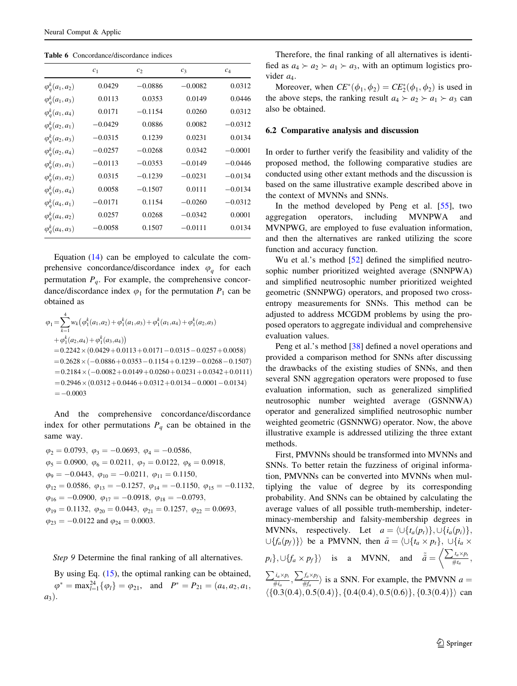<span id="page-16-0"></span>

|                         | c <sub>1</sub> | c <sub>2</sub> | $c_3$     | C <sub>4</sub> |
|-------------------------|----------------|----------------|-----------|----------------|
| $\varphi_a^k(a_1, a_2)$ | 0.0429         | $-0.0886$      | $-0.0082$ | 0.0312         |
| $\varphi_a^k(a_1, a_3)$ | 0.0113         | 0.0353         | 0.0149    | 0.0446         |
| $\varphi_a^k(a_1, a_4)$ | 0.0171         | $-0.1154$      | 0.0260    | 0.0312         |
| $\varphi_q^k(a_2, a_1)$ | $-0.0429$      | 0.0886         | 0.0082    | $-0.0312$      |
| $\varphi_a^k(a_2, a_3)$ | $-0.0315$      | 0.1239         | 0.0231    | 0.0134         |
| $\varphi_a^k(a_2, a_4)$ | $-0.0257$      | $-0.0268$      | 0.0342    | $-0.0001$      |
| $\varphi_a^k(a_3, a_1)$ | $-0.0113$      | $-0.0353$      | $-0.0149$ | $-0.0446$      |
| $\varphi_a^k(a_3, a_2)$ | 0.0315         | $-0.1239$      | $-0.0231$ | $-0.0134$      |
| $\varphi_a^k(a_3, a_4)$ | 0.0058         | $-0.1507$      | 0.0111    | $-0.0134$      |
| $\varphi_a^k(a_4, a_1)$ | $-0.0171$      | 0.1154         | $-0.0260$ | $-0.0312$      |
| $\varphi_a^k(a_4, a_2)$ | 0.0257         | 0.0268         | $-0.0342$ | 0.0001         |
| $\varphi_a^k(a_4, a_3)$ | $-0.0058$      | 0.1507         | $-0.0111$ | 0.0134         |
|                         |                |                |           |                |

Equation [\(14](#page-10-0)) can be employed to calculate the comprehensive concordance/discordance index  $\varphi_q$  for each permutation  $P_q$ . For example, the comprehensive concordance/discordance index  $\varphi_1$  for the permutation  $P_1$  can be obtained as

$$
\varphi_1 = \sum_{k=1}^{4} w_k (\varphi_1^k(a_1, a_2) + \varphi_1^k(a_1, a_3) + \varphi_1^k(a_1, a_4) + \varphi_1^k(a_2, a_3)
$$
  
+  $\varphi_1^k(a_2, a_4) + \varphi_1^k(a_3, a_4)$   
= 0.2242 × (0.0429 + 0.0113 + 0.0171 - 0.0315 - 0.0257 + 0.0058)  
= 0.2628 × (-0.0886 + 0.0353 - 0.1154 + 0.1239 - 0.0268 - 0.1507)  
= 0.2184 × (-0.0082 + 0.0149 + 0.0260 + 0.0231 + 0.0342 + 0.0111)  
= 0.2946 × (0.0312 + 0.0446 + 0.0312 + 0.0134 - 0.0001 - 0.0134)  
= -0.0003

And the comprehensive concordance/discordance index for other permutations  $P_q$  can be obtained in the same way.

$$
\varphi_2 = 0.0793, \ \varphi_3 = -0.0693, \ \varphi_4 = -0.0586,
$$
  
\n $\varphi_5 = 0.0900, \ \varphi_6 = 0.0211, \ \varphi_7 = 0.0122, \ \varphi_8 = 0.0918,$   
\n $\varphi_9 = -0.0443, \ \varphi_{10} = -0.0211, \ \varphi_{11} = 0.1150,$   
\n $\varphi_{12} = 0.0586, \ \varphi_{13} = -0.1257, \ \varphi_{14} = -0.1150, \ \varphi_{15} = -0.1132,$   
\n $\varphi_{16} = -0.0900, \ \varphi_{17} = -0.0918, \ \varphi_{18} = -0.0793,$   
\n $\varphi_{19} = 0.1132, \ \varphi_{20} = 0.0443, \ \varphi_{21} = 0.1257, \ \varphi_{22} = 0.0693,$   
\n $\varphi_{23} = -0.0122$  and  $\varphi_{24} = 0.0003$ .

Step 9 Determine the final ranking of all alternatives.

By using Eq. ([15\)](#page-10-0), the optimal ranking can be obtained,  $\varphi^* = \max_{l=1}^{24} {\varphi_l} = \varphi_{21}$ , and  $P^* = P_{21} = (a_4, a_2, a_1, a_2, a_2, a_2, a_3)$  $a_3$ ).

Therefore, the final ranking of all alternatives is identified as  $a_4 \succ a_2 \succ a_1 \succ a_3$ , with an optimum logistics provider  $a_4$ .

Moreover, when  $CE^*(\phi_1, \phi_2) = CE_2^*(\phi_1, \phi_2)$  is used in the above steps, the ranking result  $a_4 \succ a_2 \succ a_1 \succ a_3$  can also be obtained.

#### 6.2 Comparative analysis and discussion

In order to further verify the feasibility and validity of the proposed method, the following comparative studies are conducted using other extant methods and the discussion is based on the same illustrative example described above in the context of MVNNs and SNNs.

In the method developed by Peng et al. [[55](#page-19-0)], two aggregation operators, including MVNPWA and MVNPWG, are employed to fuse evaluation information, and then the alternatives are ranked utilizing the score function and accuracy function.

Wu et al.'s method [[52\]](#page-19-0) defined the simplified neutrosophic number prioritized weighted average (SNNPWA) and simplified neutrosophic number prioritized weighted geometric (SNNPWG) operators, and proposed two crossentropy measurements for SNNs. This method can be adjusted to address MCGDM problems by using the proposed operators to aggregate individual and comprehensive evaluation values.

Peng et al.'s method [[38\]](#page-19-0) defined a novel operations and provided a comparison method for SNNs after discussing the drawbacks of the existing studies of SNNs, and then several SNN aggregation operators were proposed to fuse evaluation information, such as generalized simplified neutrosophic number weighted average (GSNNWA) operator and generalized simplified neutrosophic number weighted geometric (GSNNWG) operator. Now, the above illustrative example is addressed utilizing the three extant methods.

First, PMVNNs should be transformed into MVNNs and SNNs. To better retain the fuzziness of original information, PMVNNs can be converted into MVNNs when multiplying the value of degree by its corresponding probability. And SNNs can be obtained by calculating the average values of all possible truth-membership, indeterminacy-membership and falsity-membership degrees in MVNNs, respectively. Let  $a = \langle \bigcup \{t_a(p_t)\}, \bigcup \{i_a(p_i)\}\rangle$  $\cup \{f_a(p_f)\}\rangle$  be a PMVNN, then  $\tilde{a} = \langle \cup \{t_a \times p_t\}, \cup \{t_a \times p_t\}\rangle$  $p_i$ ,  $\cup$ { $f_a \times p_f$ } is a MVNN, and  $\tilde{a} = \left\langle \sum_{\pm t_a}^{t_a \times p_a} \tilde{a} \right\rangle$  $\frac{t^{a \wedge p_1}}{\# t_a},$  $\frac{1}{2}$  $\sum_{i_a \times p_i}$  $\frac{t^{a\wedge p_i}}{\#i_a}$ ,  $\sum f_a \times p_f$  $\langle \frac{J^a \wedge P^f}{\#f_a} \rangle$  is a SNN. For example, the PMVNN  $a =$  $\langle \{0.3(0.4), 0.5(0.4)\}, \{0.4(0.4), 0.5(0.6)\}, \{0.3(0.4)\}\rangle$  can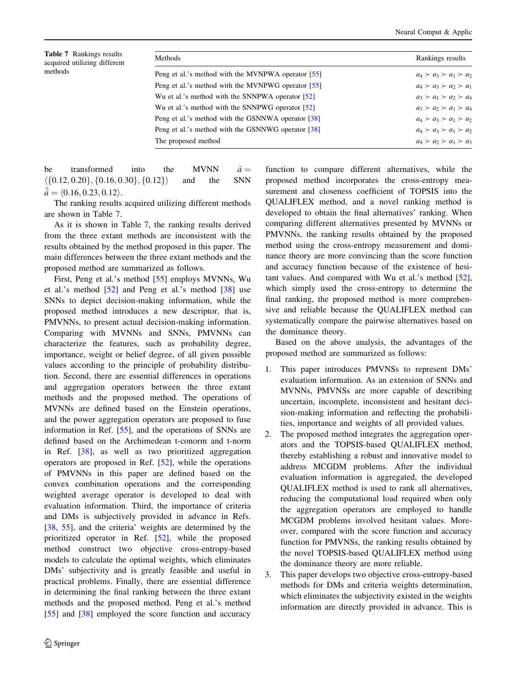| Table 7 Rankings results<br>acquired utilizing different | Methods                                            | Rankings results                    |
|----------------------------------------------------------|----------------------------------------------------|-------------------------------------|
| methods                                                  | Peng et al.'s method with the MVNPWA operator [55] | $a_4 \succ a_3 \succ a_1 \succ a_2$ |
|                                                          | Peng et al.'s method with the MVNPWG operator [55] | $a_4 \succ a_3 \succ a_2 \succ a_1$ |
|                                                          | Wu et al.'s method with the SNNPWA operator [52]   | $a_3 \succ a_1 \succ a_2 \succ a_4$ |
|                                                          | Wu et al.'s method with the SNNPWG operator [52]   | $a_3 \succ a_2 \succ a_1 \succ a_4$ |
|                                                          | Peng et al.'s method with the GSNNWA operator [38] | $a_4 \succ a_3 \succ a_1 \succ a_2$ |
|                                                          | Peng et al.'s method with the GSNNWG operator [38] | $a_4 \succ a_3 \succ a_1 \succ a_2$ |

The proposed method  $a_4 \succ a_2 \succ a_1 \succ a_3$ 

be transformed into the MVNN  $\tilde{a} =$  $\langle \{0.12, 0.20\}, \{0.16, 0.30\}, \{0.12\} \rangle$  and the SNN  $\tilde{\tilde{a}} = \langle 0.16, 0.23, 0.12 \rangle.$ 

The ranking results acquired utilizing different methods are shown in Table 7.

As it is shown in Table 7, the ranking results derived from the three extant methods are inconsistent with the results obtained by the method proposed in this paper. The main differences between the three extant methods and the proposed method are summarized as follows.

First, Peng et al.'s method [\[55](#page-19-0)] employs MVNNs, Wu et al.'s method [\[52](#page-19-0)] and Peng et al.'s method [[38\]](#page-19-0) use SNNs to depict decision-making information, while the proposed method introduces a new descriptor, that is, PMVNNs, to present actual decision-making information. Comparing with MVNNs and SNNs, PMVNNs can characterize the features, such as probability degree, importance, weight or belief degree, of all given possible values according to the principle of probability distribution. Second, there are essential differences in operations and aggregation operators between the three extant methods and the proposed method. The operations of MVNNs are defined based on the Einstein operations, and the power aggregation operators are proposed to fuse information in Ref. [[55\]](#page-19-0), and the operations of SNNs are defined based on the Archimedean t-conorm and t-norm in Ref. [\[38](#page-19-0)], as well as two prioritized aggregation operators are proposed in Ref. [\[52](#page-19-0)], while the operations of PMVNNs in this paper are defined based on the convex combination operations and the corresponding weighted average operator is developed to deal with evaluation information. Third, the importance of criteria and DMs is subjectively provided in advance in Refs. [\[38](#page-19-0), [55\]](#page-19-0), and the criteria' weights are determined by the prioritized operator in Ref. [[52\]](#page-19-0), while the proposed method construct two objective cross-entropy-based models to calculate the optimal weights, which eliminates DMs' subjectivity and is greatly feasible and useful in practical problems. Finally, there are essential difference in determining the final ranking between the three extant methods and the proposed method. Peng et al.'s method [\[55](#page-19-0)] and [[38\]](#page-19-0) employed the score function and accuracy function to compare different alternatives, while the proposed method incorporates the cross-entropy measurement and closeness coefficient of TOPSIS into the QUALIFLEX method, and a novel ranking method is developed to obtain the final alternatives' ranking. When comparing different alternatives presented by MVNNs or PMVNNs, the ranking results obtained by the proposed method using the cross-entropy measurement and dominance theory are more convincing than the score function and accuracy function because of the existence of hesitant values. And compared with Wu et al.'s method [\[52](#page-19-0)], which simply used the cross-entropy to determine the final ranking, the proposed method is more comprehensive and reliable because the QUALIFLEX method can systematically compare the pairwise alternatives based on the dominance theory.

Based on the above analysis, the advantages of the proposed method are summarized as follows:

- 1. This paper introduces PMVNSs to represent DMs' evaluation information. As an extension of SNNs and MVNNs, PMVNSs are more capable of describing uncertain, incomplete, inconsistent and hesitant decision-making information and reflecting the probabilities, importance and weights of all provided values.
- 2. The proposed method integrates the aggregation operators and the TOPSIS-based QUALIFLEX method, thereby establishing a robust and innovative model to address MCGDM problems. After the individual evaluation information is aggregated, the developed QUALIFLEX method is used to rank all alternatives, reducing the computational load required when only the aggregation operators are employed to handle MCGDM problems involved hesitant values. Moreover, compared with the score function and accuracy function for PMVNSs, the ranking results obtained by the novel TOPSIS-based QUALIFLEX method using the dominance theory are more reliable.
- 3. This paper develops two objective cross-entropy-based methods for DMs and criteria weights determination, which eliminates the subjectivity existed in the weights information are directly provided in advance. This is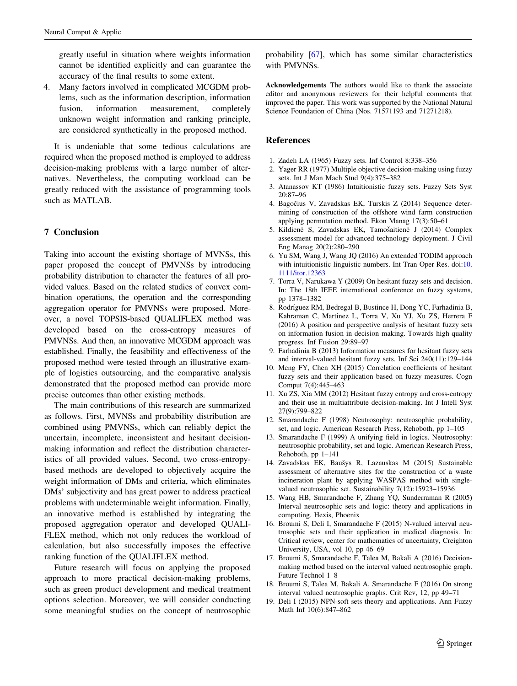<span id="page-18-0"></span>greatly useful in situation where weights information cannot be identified explicitly and can guarantee the accuracy of the final results to some extent.

4. Many factors involved in complicated MCGDM problems, such as the information description, information fusion, information measurement, completely unknown weight information and ranking principle, are considered synthetically in the proposed method.

It is undeniable that some tedious calculations are required when the proposed method is employed to address decision-making problems with a large number of alternatives. Nevertheless, the computing workload can be greatly reduced with the assistance of programming tools such as MATLAB.

# 7 Conclusion

Taking into account the existing shortage of MVNSs, this paper proposed the concept of PMVNSs by introducing probability distribution to character the features of all provided values. Based on the related studies of convex combination operations, the operation and the corresponding aggregation operator for PMVNSs were proposed. Moreover, a novel TOPSIS-based QUALIFLEX method was developed based on the cross-entropy measures of PMVNSs. And then, an innovative MCGDM approach was established. Finally, the feasibility and effectiveness of the proposed method were tested through an illustrative example of logistics outsourcing, and the comparative analysis demonstrated that the proposed method can provide more precise outcomes than other existing methods.

The main contributions of this research are summarized as follows. First, MVNSs and probability distribution are combined using PMVNSs, which can reliably depict the uncertain, incomplete, inconsistent and hesitant decisionmaking information and reflect the distribution characteristics of all provided values. Second, two cross-entropybased methods are developed to objectively acquire the weight information of DMs and criteria, which eliminates DMs' subjectivity and has great power to address practical problems with undeterminable weight information. Finally, an innovative method is established by integrating the proposed aggregation operator and developed QUALI-FLEX method, which not only reduces the workload of calculation, but also successfully imposes the effective ranking function of the QUALIFLEX method.

Future research will focus on applying the proposed approach to more practical decision-making problems, such as green product development and medical treatment options selection. Moreover, we will consider conducting some meaningful studies on the concept of neutrosophic

probability [[67\]](#page-20-0), which has some similar characteristics with PMVNSs.

Acknowledgements The authors would like to thank the associate editor and anonymous reviewers for their helpful comments that improved the paper. This work was supported by the National Natural Science Foundation of China (Nos. 71571193 and 71271218).

## References

- 1. Zadeh LA (1965) Fuzzy sets. Inf Control 8:338–356
- 2. Yager RR (1977) Multiple objective decision-making using fuzzy sets. Int J Man Mach Stud 9(4):375–382
- 3. Atanassov KT (1986) Intuitionistic fuzzy sets. Fuzzy Sets Syst 20:87–96
- 4. Bagočius V, Zavadskas EK, Turskis Z (2014) Sequence determining of construction of the offshore wind farm construction applying permutation method. Ekon Manag 17(3):50–61
- 5. Kildienė S, Zavadskas EK, Tamošaitienė J (2014) Complex assessment model for advanced technology deployment. J Civil Eng Manag 20(2):280–290
- 6. Yu SM, Wang J, Wang JQ (2016) An extended TODIM approach with intuitionistic linguistic numbers. Int Tran Oper Res. doi:[10.](http://dx.doi.org/10.1111/itor.12363) [1111/itor.12363](http://dx.doi.org/10.1111/itor.12363)
- 7. Torra V, Narukawa Y (2009) On hesitant fuzzy sets and decision. In: The 18th IEEE international conference on fuzzy systems, pp 1378–1382
- 8. Rodríguez RM, Bedregal B, Bustince H, Dong YC, Farhadinia B, Kahraman C, Martinez L, Torra V, Xu YJ, Xu ZS, Herrera F (2016) A position and perspective analysis of hesitant fuzzy sets on information fusion in decision making. Towards high quality progress. Inf Fusion 29:89–97
- 9. Farhadinia B (2013) Information measures for hesitant fuzzy sets and interval-valued hesitant fuzzy sets. Inf Sci 240(11):129–144
- 10. Meng FY, Chen XH (2015) Correlation coefficients of hesitant fuzzy sets and their application based on fuzzy measures. Cogn Comput 7(4):445–463
- 11. Xu ZS, Xia MM (2012) Hesitant fuzzy entropy and cross-entropy and their use in multiattribute decision-making. Int J Intell Syst 27(9):799–822
- 12. Smarandache F (1998) Neutrosophy: neutrosophic probability, set, and logic. American Research Press, Rehoboth, pp 1–105
- 13. Smarandache F (1999) A unifying field in logics. Neutrosophy: neutrosophic probability, set and logic. American Research Press, Rehoboth, pp 1–141
- 14. Zavadskas EK, Baušys R, Lazauskas M (2015) Sustainable assessment of alternative sites for the construction of a waste incineration plant by applying WASPAS method with singlevalued neutrosophic set. Sustainability 7(12):15923–15936
- 15. Wang HB, Smarandache F, Zhang YQ, Sunderraman R (2005) Interval neutrosophic sets and logic: theory and applications in computing. Hexis, Phoenix
- 16. Broumi S, Deli I, Smarandache F (2015) N-valued interval neutrosophic sets and their application in medical diagnosis. In: Critical review, center for mathematics of uncertainty, Creighton University, USA, vol 10, pp 46–69
- 17. Broumi S, Smarandache F, Talea M, Bakali A (2016) Decisionmaking method based on the interval valued neutrosophic graph. Future Technol 1–8
- 18. Broumi S, Talea M, Bakali A, Smarandache F (2016) On strong interval valued neutrosophic graphs. Crit Rev, 12, pp 49–71
- 19. Deli I (2015) NPN-soft sets theory and applications. Ann Fuzzy Math Inf 10(6):847–862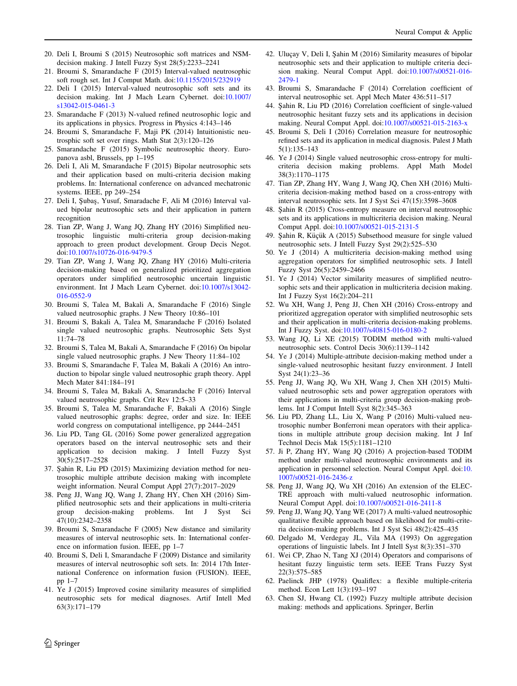- <span id="page-19-0"></span>20. Deli I, Broumi S (2015) Neutrosophic soft matrices and NSMdecision making. J Intell Fuzzy Syst 28(5):2233–2241
- 21. Broumi S, Smarandache F (2015) Interval-valued neutrosophic soft rough set. Int J Comput Math. doi:[10.1155/2015/232919](http://dx.doi.org/10.1155/2015/232919)
- 22. Deli I (2015) Interval-valued neutrosophic soft sets and its decision making. Int J Mach Learn Cybernet. doi[:10.1007/](http://dx.doi.org/10.1007/s13042-015-0461-3) [s13042-015-0461-3](http://dx.doi.org/10.1007/s13042-015-0461-3)
- 23. Smarandache F (2013) N-valued refined neutrosophic logic and its applications in physics. Progress in Physics 4:143–146
- 24. Broumi S, Smarandache F, Maji PK (2014) Intuitionistic neutrosphic soft set over rings. Math Stat 2(3):120–126
- 25. Smarandache F (2015) Symbolic neutrosophic theory. Europanova asbl, Brussels, pp 1–195
- 26. Deli I, Ali M, Smarandache F (2015) Bipolar neutrosophic sets and their application based on multi-criteria decision making problems. In: International conference on advanced mechatronic systems. IEEE, pp 249–254
- 27. Deli I, Şubaş, Yusuf, Smaradache F, Ali M (2016) Interval valued bipolar neutrosophic sets and their application in pattern recognition
- 28. Tian ZP, Wang J, Wang JQ, Zhang HY (2016) Simplified neutrosophic linguistic multi-criteria group decision-making approach to green product development. Group Decis Negot. doi:[10.1007/s10726-016-9479-5](http://dx.doi.org/10.1007/s10726-016-9479-5)
- 29. Tian ZP, Wang J, Wang JQ, Zhang HY (2016) Multi-criteria decision-making based on generalized prioritized aggregation operators under simplified neutrosophic uncertain linguistic environment. Int J Mach Learn Cybernet. doi:[10.1007/s13042-](http://dx.doi.org/10.1007/s13042-016-0552-9) [016-0552-9](http://dx.doi.org/10.1007/s13042-016-0552-9)
- 30. Broumi S, Talea M, Bakali A, Smarandache F (2016) Single valued neutrosophic graphs. J New Theory 10:86–101
- 31. Broumi S, Bakali A, Talea M, Smarandache F (2016) Isolated single valued neutrosophic graphs. Neutrosophic Sets Syst 11:74–78
- 32. Broumi S, Talea M, Bakali A, Smarandache F (2016) On bipolar single valued neutrosophic graphs. J New Theory 11:84–102
- 33. Broumi S, Smarandache F, Talea M, Bakali A (2016) An introduction to bipolar single valued neutrosophic graph theory. Appl Mech Mater 841:184–191
- 34. Broumi S, Talea M, Bakali A, Smarandache F (2016) Interval valued neutrosophic graphs. Crit Rev 12:5–33
- 35. Broumi S, Talea M, Smarandache F, Bakali A (2016) Single valued neutrosophic graphs: degree, order and size. In: IEEE world congress on computational intelligence, pp 2444–2451
- 36. Liu PD, Tang GL (2016) Some power generalized aggregation operators based on the interval neutrosophic sets and their application to decision making. J Intell Fuzzy Syst 30(5):2517–2528
- 37. Sahin R, Liu PD (2015) Maximizing deviation method for neutrosophic multiple attribute decision making with incomplete weight information. Neural Comput Appl 27(7):2017–2029
- 38. Peng JJ, Wang JQ, Wang J, Zhang HY, Chen XH (2016) Simplified neutrosophic sets and their applications in multi-criteria group decision-making problems. Int J Syst Sci 47(10):2342–2358
- 39. Broumi S, Smarandache F (2005) New distance and similarity measures of interval neutrosophic sets. In: International conference on information fusion. IEEE, pp 1–7
- 40. Broumi S, Deli I, Smarandache F (2009) Distance and similarity measures of interval neutrosophic soft sets. In: 2014 17th International Conference on information fusion (FUSION). IEEE, pp 1–7
- 41. Ye J (2015) Improved cosine similarity measures of simplified neutrosophic sets for medical diagnoses. Artif Intell Med 63(3):171–179
- 42. Uluçay V, Deli I, Şahin M (2016) Similarity measures of bipolar neutrosophic sets and their application to multiple criteria decision making. Neural Comput Appl. doi:[10.1007/s00521-016-](http://dx.doi.org/10.1007/s00521-016-2479-1) [2479-1](http://dx.doi.org/10.1007/s00521-016-2479-1)
- 43. Broumi S, Smarandache F (2014) Correlation coefficient of interval neutrosophic set. Appl Mech Mater 436:511–517
- 44. Sahin R, Liu PD (2016) Correlation coefficient of single-valued neutrosophic hesitant fuzzy sets and its applications in decision making. Neural Comput Appl. doi[:10.1007/s00521-015-2163-x](http://dx.doi.org/10.1007/s00521-015-2163-x)
- 45. Broumi S, Deli I (2016) Correlation measure for neutrosophic refined sets and its application in medical diagnosis. Palest J Math 5(1):135–143
- 46. Ye J (2014) Single valued neutrosophic cross-entropy for multicriteria decision making problems. Appl Math Model 38(3):1170–1175
- 47. Tian ZP, Zhang HY, Wang J, Wang JQ, Chen XH (2016) Multicriteria decision-making method based on a cross-entropy with interval neutrosophic sets. Int J Syst Sci 47(15):3598–3608
- 48. Sahin R (2015) Cross-entropy measure on interval neutrosophic sets and its applications in multicriteria decision making. Neural Comput Appl. doi:[10.1007/s00521-015-2131-5](http://dx.doi.org/10.1007/s00521-015-2131-5)
- 49. Sahin R, Küçük A (2015) Subsethood measure for single valued neutrosophic sets. J Intell Fuzzy Syst 29(2):525–530
- 50. Ye J (2014) A multicriteria decision-making method using aggregation operators for simplified neutrosophic sets. J Intell Fuzzy Syst 26(5):2459–2466
- 51. Ye J (2014) Vector similarity measures of simplified neutrosophic sets and their application in multicriteria decision making. Int J Fuzzy Syst 16(2):204–211
- 52. Wu XH, Wang J, Peng JJ, Chen XH (2016) Cross-entropy and prioritized aggregation operator with simplified neutrosophic sets and their application in multi-criteria decision-making problems. Int J Fuzzy Syst. doi[:10.1007/s40815-016-0180-2](http://dx.doi.org/10.1007/s40815-016-0180-2)
- 53. Wang JQ, Li XE (2015) TODIM method with multi-valued neutrosophic sets. Control Decis 30(6):1139–1142
- 54. Ye J (2014) Multiple-attribute decision-making method under a single-valued neutrosophic hesitant fuzzy environment. J Intell Syst 24(1):23–36
- 55. Peng JJ, Wang JQ, Wu XH, Wang J, Chen XH (2015) Multivalued neutrosophic sets and power aggregation operators with their applications in multi-criteria group decision-making problems. Int J Comput Intell Syst 8(2):345–363
- 56. Liu PD, Zhang LL, Liu X, Wang P (2016) Multi-valued neutrosophic number Bonferroni mean operators with their applications in multiple attribute group decision making. Int J Inf Technol Decis Mak 15(5):1181–1210
- 57. Ji P, Zhang HY, Wang JQ (2016) A projection-based TODIM method under multi-valued neutrosophic environments and its application in personnel selection. Neural Comput Appl. doi:[10.](http://dx.doi.org/10.1007/s00521-016-2436-z) [1007/s00521-016-2436-z](http://dx.doi.org/10.1007/s00521-016-2436-z)
- 58. Peng JJ, Wang JQ, Wu XH (2016) An extension of the ELEC-TRE approach with multi-valued neutrosophic information. Neural Comput Appl. doi:[10.1007/s00521-016-2411-8](http://dx.doi.org/10.1007/s00521-016-2411-8)
- 59. Peng JJ, Wang JQ, Yang WE (2017) A multi-valued neutrosophic qualitative flexible approach based on likelihood for multi-criteria decision-making problems. Int J Syst Sci 48(2):425–435
- 60. Delgado M, Verdegay JL, Vila MA (1993) On aggregation operations of linguistic labels. Int J Intell Syst 8(3):351–370
- 61. Wei CP, Zhao N, Tang XJ (2014) Operators and comparisons of hesitant fuzzy linguistic term sets. IEEE Trans Fuzzy Syst 22(3):575–585
- 62. Paelinck JHP (1978) Qualiflex: a flexible multiple-criteria method. Econ Lett 1(3):193–197
- 63. Chen SJ, Hwang CL (1992) Fuzzy multiple attribute decision making: methods and applications. Springer, Berlin